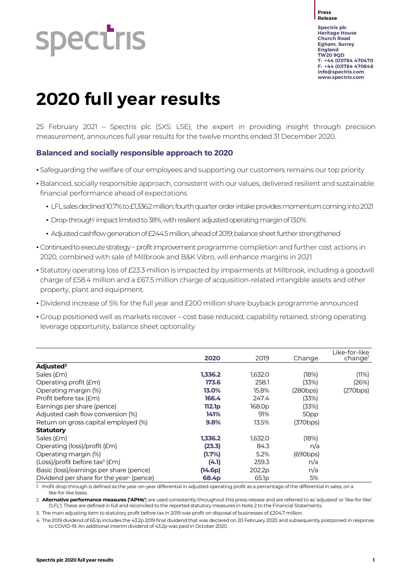# **Spectris**

**Press Release**

**Spectris plc Heritage House Church Road Egham, Surrey England TW20 9QD T: +44 (0)1784 470470 F: +44 (0)1784 470848 [info@spectris.com](mailto:info@spectris.com) www.spectris.com**

# **2020 full year results**

25 February 2021 – Spectris plc (SXS: LSE), the expert in providing insight through precision measurement, announces full year results for the twelve months ended 31 December 2020.

# **Balanced and socially responsible approach to 2020**

- Safeguarding the welfare of our employees and supporting our customers remains our top priority
- Balanced, socially responsible approach, consistent with our values, delivered resilient and sustainable financial performance ahead of expectations
	- LFL sales declined 10.7% to £1,336.2 million; fourth quarter order intake provides momentum coming into 2021
	- Drop-through<sup>1</sup> impact limited to 38%, with resilient adjusted operating margin of 13.0%
	- Adjusted cashflow generation of £244.5 million, ahead of 2019; balance sheet further strengthened
- Continued to execute strategy profit improvement programme completion and further cost actions in 2020, combined with sale of Millbrook and B&K Vibro, will enhance margins in 2021
- Statutory operating loss of £23.3 million is impacted by impairments at Millbrook, including a goodwill charge of £58.4 million and a £67.5 million charge of acquisition-related intangible assets and other property, plant and equipment.
- Dividend increase of 5% for the full year and £200 million share buyback programme announced
- Group positioned well as markets recover cost base reduced, capability retained, strong operating leverage opportunity, balance sheet optionality

|                                                      | 2020               | 2019              | Change   | Like-for-like<br>change |
|------------------------------------------------------|--------------------|-------------------|----------|-------------------------|
| Adjusted <sup>2</sup>                                |                    |                   |          |                         |
| Sales (£m)                                           | 1,336.2            | 1,632.0           | (18%)    | (11%)                   |
| Operating profit ( <i>Em</i> )                       | 173.6              | 258.1             | (33%)    | (26%)                   |
| Operating margin (%)                                 | 13.0%              | 15.8%             | (280bps) | (270bps)                |
| Profit before tax (£m)                               | 166.4              | 247.4             | (33%)    |                         |
| Earnings per share (pence)                           | 112.1 <sub>p</sub> | 168.0p            | (33%)    |                         |
| Adjusted cash flow conversion (%)                    | 141%               | 91%               | 50pp     |                         |
| Return on gross capital employed (%)                 | 9.8%               | 13.5%             | (370bps) |                         |
| <b>Statutory</b>                                     |                    |                   |          |                         |
| Sales (£m)                                           | 1,336.2            | 1,632.0           | (18%)    |                         |
| Operating (loss)/profit (£m)                         | (23.3)             | 84.3              | n/a      |                         |
| Operating margin (%)                                 | (1.7%)             | 5.2%              | (690bps) |                         |
| (Loss)/profit before tax <sup>3</sup> (£m)           | (4.1)              | 259.3             | n/a      |                         |
| Basic (loss)/earnings per share (pence)              | (14.6p)            | 202.2p            | n/a      |                         |
| Dividend per share for the year <sup>4</sup> (pence) | 68.4p              | 65.1 <sub>p</sub> | 5%       |                         |

1. Profit drop-through is defined as the year-on-year differential in adjusted operating profit as a percentage of the differential in sales, on a like-for-like basis.

2. **Alternative performance measures ('APMs'**) are used consistently throughout this press release and are referred to as 'adjusted' or 'like-for-like' ('LFL'). These are defined in full and reconciled to the reported statutory measures in Note 2 to the Financial Statements.

3. The main adjusting item to statutory profit before tax in 2019 was profit on disposal of businesses of £204.7 million.

4. The 2019 dividend of 65.1p includes the 43.2p 2019 final dividend that was declared on 20 February 2020 and subsequently postponed in response to COVID-19. An additional interim dividend of 43.2p was paid in October 2020.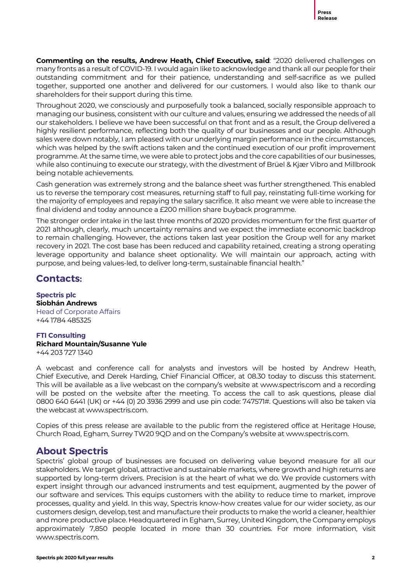**Commenting on the results, Andrew Heath, Chief Executive, said**: "2020 delivered challenges on many fronts as a result of COVID-19. I would again like to acknowledge and thank all our people for their outstanding commitment and for their patience, understanding and self-sacrifice as we pulled together, supported one another and delivered for our customers. I would also like to thank our shareholders for their support during this time.

Throughout 2020, we consciously and purposefully took a balanced, socially responsible approach to managing our business, consistent with our culture and values, ensuring we addressed the needs of all our stakeholders. I believe we have been successful on that front and as a result, the Group delivered a highly resilient performance, reflecting both the quality of our businesses and our people. Although sales were down notably, I am pleased with our underlying margin performance in the circumstances, which was helped by the swift actions taken and the continued execution of our profit improvement programme. At the same time, we were able to protect jobs and the core capabilities of our businesses, while also continuing to execute our strategy, with the divestment of Brüel & Kjær Vibro and Millbrook being notable achievements.

Cash generation was extremely strong and the balance sheet was further strengthened. This enabled us to reverse the temporary cost measures, returning staff to full pay, reinstating full-time working for the majority of employees and repaying the salary sacrifice. It also meant we were able to increase the final dividend and today announce a £200 million share buyback programme.

The stronger order intake in the last three months of 2020 provides momentum for the first quarter of 2021 although, clearly, much uncertainty remains and we expect the immediate economic backdrop to remain challenging. However, the actions taken last year position the Group well for any market recovery in 2021. The cost base has been reduced and capability retained, creating a strong operating leverage opportunity and balance sheet optionality. We will maintain our approach, acting with purpose, and being values-led, to deliver long-term, sustainable financial health."

# **Contacts:**

**Spectris plc Siobhán Andrews** Head of Corporate Affairs +44 1784 485325

### **FTI Consulting Richard Mountain/Susanne Yule** +44 203 727 1340

A webcast and conference call for analysts and investors will be hosted by Andrew Heath, Chief Executive, and Derek Harding, Chief Financial Officer, at 08.30 today to discuss this statement. This will be available as a live webcast on the company's website at www.spectris.com and a recording will be posted on the website after the meeting. To access the call to ask questions, please dial 0800 640 6441 (UK) or +44 (0) 20 3936 2999 and use pin code: 747571#. Questions will also be taken via the webcast at www.spectris.com.

Copies of this press release are available to the public from the registered office at Heritage House, Church Road, Egham, Surrey TW20 9QD and on the Company's website at www.spectris.com.

# **About Spectris**

Spectris' global group of businesses are focused on delivering value beyond measure for all our stakeholders. We target global, attractive and sustainable markets, where growth and high returns are supported by long-term drivers. Precision is at the heart of what we do. We provide customers with expert insight through our advanced instruments and test equipment, augmented by the power of our software and services. This equips customers with the ability to reduce time to market, improve processes, quality and yield. In this way, Spectris know-how creates value for our wider society, as our customers design, develop, test and manufacture their products to make the world a cleaner, healthier and more productive place. Headquartered in Egham, Surrey, United Kingdom, the Company employs approximately 7,850 people located in more than 30 countries. For more information, visit www.spectris.com.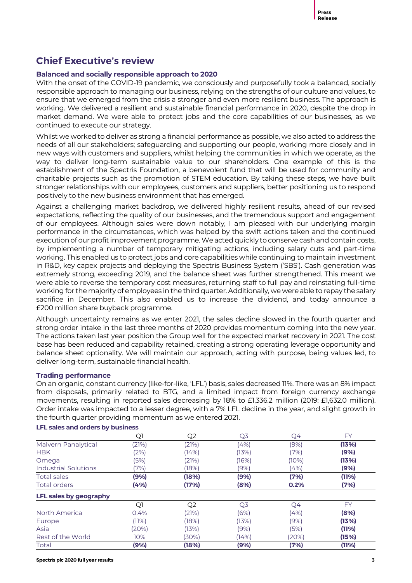# **Chief Executive's review**

# **Balanced and socially responsible approach to 2020**

With the onset of the COVID-19 pandemic, we consciously and purposefully took a balanced, socially responsible approach to managing our business, relying on the strengths of our culture and values, to ensure that we emerged from the crisis a stronger and even more resilient business. The approach is working. We delivered a resilient and sustainable financial performance in 2020, despite the drop in market demand. We were able to protect jobs and the core capabilities of our businesses, as we continued to execute our strategy.

Whilst we worked to deliver as strong a financial performance as possible, we also acted to address the needs of all our stakeholders; safeguarding and supporting our people, working more closely and in new ways with customers and suppliers, whilst helping the communities in which we operate, as the way to deliver long-term sustainable value to our shareholders. One example of this is the establishment of the Spectris Foundation, a benevolent fund that will be used for community and charitable projects such as the promotion of STEM education. By taking these steps, we have built stronger relationships with our employees, customers and suppliers, better positioning us to respond positively to the new business environment that has emerged.

Against a challenging market backdrop, we delivered highly resilient results, ahead of our revised expectations, reflecting the quality of our businesses, and the tremendous support and engagement of our employees. Although sales were down notably, I am pleased with our underlying margin performance in the circumstances, which was helped by the swift actions taken and the continued execution of our profit improvement programme. We acted quickly to conserve cash and contain costs, by implementing a number of temporary mitigating actions, including salary cuts and part-time working. This enabled us to protect jobs and core capabilities while continuing to maintain investment in R&D, key capex projects and deploying the Spectris Business System ('SBS'). Cash generation was extremely strong, exceeding 2019, and the balance sheet was further strengthened. This meant we were able to reverse the temporary cost measures, returning staff to full pay and reinstating full-time working for the majority of employees in the third quarter. Additionally, we were able to repay the salary sacrifice in December. This also enabled us to increase the dividend, and today announce a £200 million share buyback programme.

Although uncertainty remains as we enter 2021, the sales decline slowed in the fourth quarter and strong order intake in the last three months of 2020 provides momentum coming into the new year. The actions taken last year position the Group well for the expected market recovery in 2021. The cost base has been reduced and capability retained, creating a strong operating leverage opportunity and balance sheet optionality. We will maintain our approach, acting with purpose, being values led, to deliver long-term, sustainable financial health.

# **Trading performance**

On an organic, constant currency (like-for-like, 'LFL') basis, sales decreased 11%. There was an 8% impact from disposals, primarily related to BTG, and a limited impact from foreign currency exchange movements, resulting in reported sales decreasing by 18% to £1,336.2 million (2019: £1,632.0 million). Order intake was impacted to a lesser degree, with a 7% LFL decline in the year, and slight growth in the fourth quarter providing momentum as we entered 2021.

|                             | Q1    | Q <sub>2</sub> | Q3    | Q4    | FY        |
|-----------------------------|-------|----------------|-------|-------|-----------|
| Malvern Panalytical         | (21%) | (21%)          | (4%)  | (9%)  | (13%)     |
| <b>HBK</b>                  | (2%)  | (14%)          | (13%) | (7%)  | (9%)      |
| Omega                       | (5%)  | (21%)          | (16%) | (10%) | (13%)     |
| <b>Industrial Solutions</b> | (7%)  | (18%)          | (9%)  | (4%)  | (9%)      |
| <b>Total sales</b>          | (9%)  | (18%)          | (9%)  | (7%)  | (11%)     |
| <b>Total orders</b>         | (4%)  | (17%)          | (8%)  | 0.2%  | (7%)      |
| LFL sales by geography      |       |                |       |       |           |
|                             | Q1    | Q <sub>2</sub> | Q3    | Q4    | <b>FY</b> |
| North America               | 0.4%  | (21%)          | (6%)  | (4%)  | (8%)      |
| Europe                      | (11%) | (18%)          | (13%) | (9%)  | (13%)     |
| Asia                        | (20%) | (13%)          | (9%)  | (5%)  | (11%)     |
| Rest of the World           | 10%   | 30%)           | (14%) | (20%) | (15%)     |
| Total                       | (9%)  | (18%)          | (9%)  | (7%)  | (11%)     |

# **LFL sales and orders by business**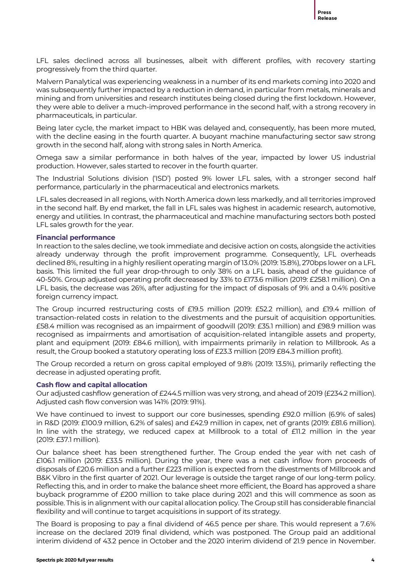LFL sales declined across all businesses, albeit with different profiles, with recovery starting progressively from the third quarter.

Malvern Panalytical was experiencing weakness in a number of its end markets coming into 2020 and was subsequently further impacted by a reduction in demand, in particular from metals, minerals and mining and from universities and research institutes being closed during the first lockdown. However, they were able to deliver a much-improved performance in the second half, with a strong recovery in pharmaceuticals, in particular.

Being later cycle, the market impact to HBK was delayed and, consequently, has been more muted, with the decline easing in the fourth quarter. A buoyant machine manufacturing sector saw strong growth in the second half, along with strong sales in North America.

Omega saw a similar performance in both halves of the year, impacted by lower US industrial production. However, sales started to recover in the fourth quarter.

The Industrial Solutions division ('ISD') posted 9% lower LFL sales, with a stronger second half performance, particularly in the pharmaceutical and electronics markets.

LFL sales decreased in all regions, with North America down less markedly, and all territories improved in the second half. By end market, the fall in LFL sales was highest in academic research, automotive, energy and utilities. In contrast, the pharmaceutical and machine manufacturing sectors both posted LFL sales growth for the year.

# **Financial performance**

In reaction to the sales decline, we took immediate and decisive action on costs, alongside the activities already underway through the profit improvement programme. Consequently, LFL overheads declined 8%, resulting in a highly resilient operating margin of 13.0% (2019: 15.8%), 270bps lower on a LFL basis. This limited the full year drop-through to only 38% on a LFL basis, ahead of the guidance of 40-50%. Group adjusted operating profit decreased by 33% to £173.6 million (2019: £258.1 million). On a LFL basis, the decrease was 26%, after adjusting for the impact of disposals of 9% and a 0.4% positive foreign currency impact.

The Group incurred restructuring costs of £19.5 million (2019: £52.2 million), and £19.4 million of transaction-related costs in relation to the divestments and the pursuit of acquisition opportunities. £58.4 million was recognised as an impairment of goodwill (2019: £35.1 million) and £98.9 million was recognised as impairments and amortisation of acquisition-related intangible assets and property, plant and equipment (2019: £84.6 million), with impairments primarily in relation to Millbrook. As a result, the Group booked a statutory operating loss of £23.3 million (2019 £84.3 million profit).

The Group recorded a return on gross capital employed of 9.8% (2019: 13.5%), primarily reflecting the decrease in adjusted operating profit.

# **Cash flow and capital allocation**

Our adjusted cashflow generation of £244.5 million was very strong, and ahead of 2019 (£234.2 million). Adjusted cash flow conversion was 141% (2019: 91%).

We have continued to invest to support our core businesses, spending £92.0 million (6.9% of sales) in R&D (2019: £100.9 million, 6.2% of sales) and £42.9 million in capex, net of grants (2019: £81.6 million). In line with the strategy, we reduced capex at Millbrook to a total of £11.2 million in the year (2019: £37.1 million).

Our balance sheet has been strengthened further. The Group ended the year with net cash of £106.1 million (2019: £33.5 million). During the year, there was a net cash inflow from proceeds of disposals of £20.6 million and a further £223 million is expected from the divestments of Millbrook and B&K Vibro in the first quarter of 2021. Our leverage is outside the target range of our long-term policy. Reflecting this, and in order to make the balance sheet more efficient, the Board has approved a share buyback programme of £200 million to take place during 2021 and this will commence as soon as possible. This is in alignment with our capital allocation policy. The Group still has considerable financial flexibility and will continue to target acquisitions in support of its strategy.

The Board is proposing to pay a final dividend of 46.5 pence per share. This would represent a 7.6% increase on the declared 2019 final dividend, which was postponed. The Group paid an additional interim dividend of 43.2 pence in October and the 2020 interim dividend of 21.9 pence in November.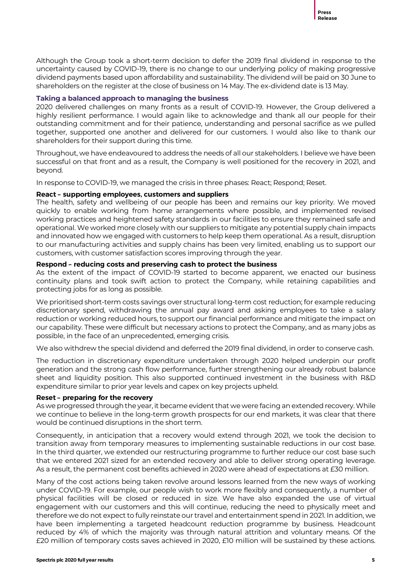Although the Group took a short-term decision to defer the 2019 final dividend in response to the uncertainty caused by COVID-19, there is no change to our underlying policy of making progressive dividend payments based upon affordability and sustainability. The dividend will be paid on 30 June to shareholders on the register at the close of business on 14 May. The ex-dividend date is 13 May.

# **Taking a balanced approach to managing the business**

2020 delivered challenges on many fronts as a result of COVID-19. However, the Group delivered a highly resilient performance. I would again like to acknowledge and thank all our people for their outstanding commitment and for their patience, understanding and personal sacrifice as we pulled together, supported one another and delivered for our customers. I would also like to thank our shareholders for their support during this time.

Throughout, we have endeavoured to address the needs of all our stakeholders. I believe we have been successful on that front and as a result, the Company is well positioned for the recovery in 2021, and beyond.

In response to COVID-19, we managed the crisis in three phases: React; Respond; Reset.

# **React – supporting employees, customers and suppliers**

The health, safety and wellbeing of our people has been and remains our key priority. We moved quickly to enable working from home arrangements where possible, and implemented revised working practices and heightened safety standards in our facilities to ensure they remained safe and operational. We worked more closely with our suppliers to mitigate any potential supply chain impacts and innovated how we engaged with customers to help keep them operational. As a result, disruption to our manufacturing activities and supply chains has been very limited, enabling us to support our customers, with customer satisfaction scores improving through the year.

# **Respond – reducing costs and preserving cash to protect the business**

As the extent of the impact of COVID-19 started to become apparent, we enacted our business continuity plans and took swift action to protect the Company, while retaining capabilities and protecting jobs for as long as possible.

We prioritised short-term costs savings over structural long-term cost reduction; for example reducing discretionary spend, withdrawing the annual pay award and asking employees to take a salary reduction or working reduced hours, to support our financial performance and mitigate the impact on our capability. These were difficult but necessary actions to protect the Company, and as many jobs as possible, in the face of an unprecedented, emerging crisis.

We also withdrew the special dividend and deferred the 2019 final dividend, in order to conserve cash.

The reduction in discretionary expenditure undertaken through 2020 helped underpin our profit generation and the strong cash flow performance, further strengthening our already robust balance sheet and liquidity position. This also supported continued investment in the business with R&D expenditure similar to prior year levels and capex on key projects upheld.

# **Reset – preparing for the recovery**

As we progressed through the year, it became evident that we were facing an extended recovery. While we continue to believe in the long-term growth prospects for our end markets, it was clear that there would be continued disruptions in the short term.

Consequently, in anticipation that a recovery would extend through 2021, we took the decision to transition away from temporary measures to implementing sustainable reductions in our cost base. In the third quarter, we extended our restructuring programme to further reduce our cost base such that we entered 2021 sized for an extended recovery and able to deliver strong operating leverage. As a result, the permanent cost benefits achieved in 2020 were ahead of expectations at £30 million.

Many of the cost actions being taken revolve around lessons learned from the new ways of working under COVID-19. For example, our people wish to work more flexibly and consequently, a number of physical facilities will be closed or reduced in size. We have also expanded the use of virtual engagement with our customers and this will continue, reducing the need to physically meet and therefore we do not expect to fully reinstate our travel and entertainment spend in 2021. In addition, we have been implementing a targeted headcount reduction programme by business. Headcount reduced by 4% of which the majority was through natural attrition and voluntary means. Of the £20 million of temporary costs saves achieved in 2020, £10 million will be sustained by these actions.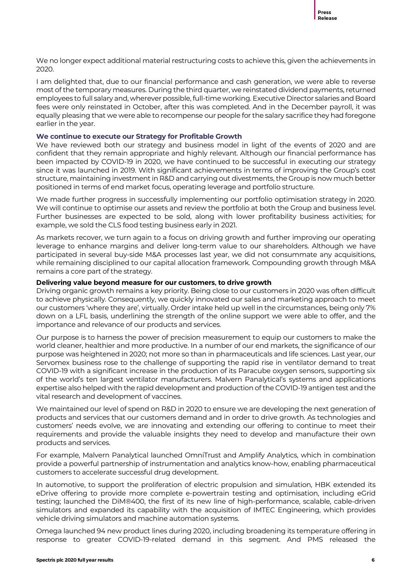We no longer expect additional material restructuring costs to achieve this, given the achievements in 2020.

I am delighted that, due to our financial performance and cash generation, we were able to reverse most of the temporary measures. During the third quarter, we reinstated dividend payments, returned employees to full salary and, wherever possible, full-time working. Executive Director salaries and Board fees were only reinstated in October, after this was completed. And in the December payroll, it was equally pleasing that we were able to recompense our people for the salary sacrifice they had foregone earlier in the year.

### **We continue to execute our Strategy for Profitable Growth**

We have reviewed both our strategy and business model in light of the events of 2020 and are confident that they remain appropriate and highly relevant. Although our financial performance has been impacted by COVID-19 in 2020, we have continued to be successful in executing our strategy since it was launched in 2019. With significant achievements in terms of improving the Group's cost structure, maintaining investment in R&D and carrying out divestments, the Group is now much better positioned in terms of end market focus, operating leverage and portfolio structure.

We made further progress in successfully implementing our portfolio optimisation strategy in 2020. We will continue to optimise our assets and review the portfolio at both the Group and business level. Further businesses are expected to be sold, along with lower profitability business activities; for example, we sold the CLS food testing business early in 2021.

As markets recover, we turn again to a focus on driving growth and further improving our operating leverage to enhance margins and deliver long-term value to our shareholders. Although we have participated in several buy-side M&A processes last year, we did not consummate any acquisitions, while remaining disciplined to our capital allocation framework. Compounding growth through M&A remains a core part of the strategy.

### **Delivering value beyond measure for our customers, to drive growth**

Driving organic growth remains a key priority. Being close to our customers in 2020 was often difficult to achieve physically. Consequently, we quickly innovated our sales and marketing approach to meet our customers 'where they are', virtually. Order intake held up well in the circumstances, being only 7% down on a LFL basis, underlining the strength of the online support we were able to offer, and the importance and relevance of our products and services.

Our purpose is to harness the power of precision measurement to equip our customers to make the world cleaner, healthier and more productive. In a number of our end markets, the significance of our purpose was heightened in 2020; not more so than in pharmaceuticals and life sciences. Last year, our Servomex business rose to the challenge of supporting the rapid rise in ventilator demand to treat COVID-19 with a significant increase in the production of its Paracube oxygen sensors, supporting six of the world's ten largest ventilator manufacturers. Malvern Panalytical's systems and applications expertise also helped with the rapid development and production of the COVID-19 antigen test and the vital research and development of vaccines.

We maintained our level of spend on R&D in 2020 to ensure we are developing the next generation of products and services that our customers demand and in order to drive growth. As technologies and customers' needs evolve, we are innovating and extending our offering to continue to meet their requirements and provide the valuable insights they need to develop and manufacture their own products and services.

For example, Malvern Panalytical launched OmniTrust and Amplify Analytics, which in combination provide a powerful partnership of instrumentation and analytics know-how, enabling pharmaceutical customers to accelerate successful drug development.

In automotive, to support the proliferation of electric propulsion and simulation, HBK extended its eDrive offering to provide more complete e-powertrain testing and optimisation, including eGrid testing; launched the DiM®400, the first of its new line of high-performance, scalable, cable-driven simulators and expanded its capability with the acquisition of IMTEC Engineering, which provides vehicle driving simulators and machine automation systems.

Omega launched 94 new product lines during 2020, including broadening its temperature offering in response to greater COVID-19-related demand in this segment. And PMS released the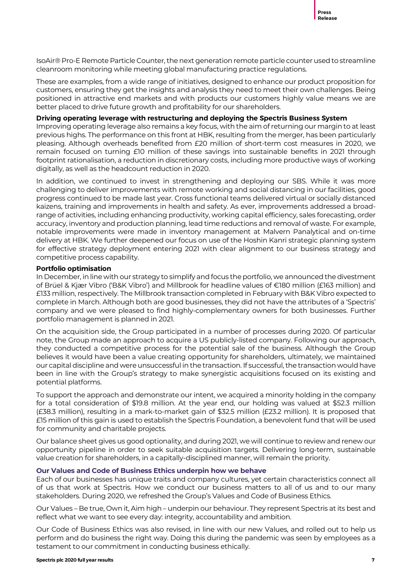IsoAir® Pro-E Remote Particle Counter, the next generation remote particle counter used to streamline cleanroom monitoring while meeting global manufacturing practice regulations.

These are examples, from a wide range of initiatives, designed to enhance our product proposition for customers, ensuring they get the insights and analysis they need to meet their own challenges. Being positioned in attractive end markets and with products our customers highly value means we are better placed to drive future growth and profitability for our shareholders.

# **Driving operating leverage with restructuring and deploying the Spectris Business System**

Improving operating leverage also remains a key focus, with the aim of returning our margin to at least previous highs. The performance on this front at HBK, resulting from the merger, has been particularly pleasing. Although overheads benefited from £20 million of short-term cost measures in 2020, we remain focused on turning £10 million of these savings into sustainable benefits in 2021 through footprint rationalisation, a reduction in discretionary costs, including more productive ways of working digitally, as well as the headcount reduction in 2020.

In addition, we continued to invest in strengthening and deploying our SBS. While it was more challenging to deliver improvements with remote working and social distancing in our facilities, good progress continued to be made last year. Cross functional teams delivered virtual or socially distanced kaizens, training and improvements in health and safety. As ever, improvements addressed a broadrange of activities, including enhancing productivity, working capital efficiency, sales forecasting, order accuracy, inventory and production planning, lead time reductions and removal of waste. For example, notable improvements were made in inventory management at Malvern Panalytical and on-time delivery at HBK. We further deepened our focus on use of the Hoshin Kanri strategic planning system for effective strategy deployment entering 2021 with clear alignment to our business strategy and competitive process capability.

# **Portfolio optimisation**

In December, in line with our strategy to simplify and focus the portfolio, we announced the divestment of Brüel & Kjær Vibro ('B&K Vibro') and Millbrook for headline values of €180 million (£163 million) and £133 million, respectively. The Millbrook transaction completed in February with B&K Vibro expected to complete in March. Although both are good businesses, they did not have the attributes of a 'Spectris' company and we were pleased to find highly-complementary owners for both businesses. Further portfolio management is planned in 2021.

On the acquisition side, the Group participated in a number of processes during 2020. Of particular note, the Group made an approach to acquire a US publicly-listed company. Following our approach, they conducted a competitive process for the potential sale of the business. Although the Group believes it would have been a value creating opportunity for shareholders, ultimately, we maintained our capital discipline and were unsuccessful in the transaction. If successful, the transaction would have been in line with the Group's strategy to make synergistic acquisitions focused on its existing and potential platforms.

To support the approach and demonstrate our intent, we acquired a minority holding in the company for a total consideration of \$19.8 million. At the year end, our holding was valued at \$52.3 million (£38.3 million), resulting in a mark-to-market gain of \$32.5 million (£23.2 million). It is proposed that £15 million of this gain is used to establish the Spectris Foundation, a benevolent fund that will be used for community and charitable projects.

Our balance sheet gives us good optionality, and during 2021, we will continue to review and renew our opportunity pipeline in order to seek suitable acquisition targets. Delivering long-term, sustainable value creation for shareholders, in a capitally-disciplined manner, will remain the priority.

### **Our Values and Code of Business Ethics underpin how we behave**

Each of our businesses has unique traits and company cultures, yet certain characteristics connect all of us that work at Spectris. How we conduct our business matters to all of us and to our many stakeholders. During 2020, we refreshed the Group's Values and Code of Business Ethics.

Our Values – Be true, Own it, Aim high – underpin our behaviour. They represent Spectris at its best and reflect what we want to see every day: integrity, accountability and ambition.

Our Code of Business Ethics was also revised, in line with our new Values, and rolled out to help us perform and do business the right way. Doing this during the pandemic was seen by employees as a testament to our commitment in conducting business ethically.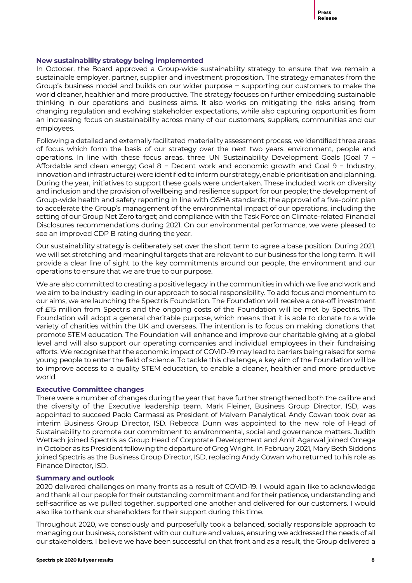

# **New sustainability strategy being implemented**

In October, the Board approved a Group-wide sustainability strategy to ensure that we remain a sustainable employer, partner, supplier and investment proposition. The strategy emanates from the Group's business model and builds on our wider purpose - supporting our customers to make the world cleaner, healthier and more productive. The strategy focuses on further embedding sustainable thinking in our operations and business aims. It also works on mitigating the risks arising from changing regulation and evolving stakeholder expectations, while also capturing opportunities from an increasing focus on sustainability across many of our customers, suppliers, communities and our employees.

Following a detailed and externally facilitated materiality assessment process, we identified three areas of focus which form the basis of our strategy over the next two years: environment, people and operations. In line with these focus areas, three UN Sustainability Development Goals (Goal 7 − Affordable and clean energy; Goal 8 − Decent work and economic growth and Goal 9 − Industry, innovation and infrastructure) were identified to inform our strategy, enable prioritisation and planning. During the year, initiatives to support these goals were undertaken. These included: work on diversity and inclusion and the provision of wellbeing and resilience support for our people; the development of Group-wide health and safety reporting in line with OSHA standards; the approval of a five-point plan to accelerate the Group's management of the environmental impact of our operations, including the setting of our Group Net Zero target; and compliance with the Task Force on Climate-related Financial Disclosures recommendations during 2021. On our environmental performance, we were pleased to see an improved CDP B rating during the year.

Our sustainability strategy is deliberately set over the short term to agree a base position. During 2021, we will set stretching and meaningful targets that are relevant to our business for the long term. It will provide a clear line of sight to the key commitments around our people, the environment and our operations to ensure that we are true to our purpose.

We are also committed to creating a positive legacy in the communities in which we live and work and we aim to be industry leading in our approach to social responsibility. To add focus and momentum to our aims, we are launching the Spectris Foundation. The Foundation will receive a one-off investment of £15 million from Spectris and the ongoing costs of the Foundation will be met by Spectris. The Foundation will adopt a general charitable purpose, which means that it is able to donate to a wide variety of charities within the UK and overseas. The intention is to focus on making donations that promote STEM education. The Foundation will enhance and improve our charitable giving at a global level and will also support our operating companies and individual employees in their fundraising efforts. We recognise that the economic impact of COVID-19 may lead to barriers being raised for some young people to enter the field of science. To tackle this challenge, a key aim of the Foundation will be to improve access to a quality STEM education, to enable a cleaner, healthier and more productive world.

# **Executive Committee changes**

There were a number of changes during the year that have further strengthened both the calibre and the diversity of the Executive leadership team. Mark Fleiner, Business Group Director, ISD, was appointed to succeed Paolo Carmassi as President of Malvern Panalytical. Andy Cowan took over as interim Business Group Director, ISD. Rebecca Dunn was appointed to the new role of Head of Sustainability to promote our commitment to environmental, social and governance matters. Judith Wettach joined Spectris as Group Head of Corporate Development and Amit Agarwal joined Omega in October as its President following the departure of Greg Wright. In February 2021, Mary Beth Siddons joined Spectris as the Business Group Director, ISD, replacing Andy Cowan who returned to his role as Finance Director, ISD.

# **Summary and outlook**

2020 delivered challenges on many fronts as a result of COVID-19. I would again like to acknowledge and thank all our people for their outstanding commitment and for their patience, understanding and self-sacrifice as we pulled together, supported one another and delivered for our customers. I would also like to thank our shareholders for their support during this time.

Throughout 2020, we consciously and purposefully took a balanced, socially responsible approach to managing our business, consistent with our culture and values, ensuring we addressed the needs of all our stakeholders. I believe we have been successful on that front and as a result, the Group delivered a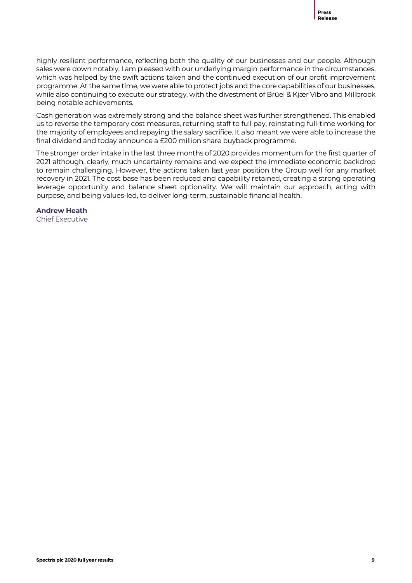highly resilient performance, reflecting both the quality of our businesses and our people. Although sales were down notably, I am pleased with our underlying margin performance in the circumstances, which was helped by the swift actions taken and the continued execution of our profit improvement programme. At the same time, we were able to protect jobs and the core capabilities of our businesses, while also continuing to execute our strategy, with the divestment of Brüel & Kjær Vibro and Millbrook being notable achievements.

Cash generation was extremely strong and the balance sheet was further strengthened. This enabled us to reverse the temporary cost measures, returning staff to full pay, reinstating full-time working for the majority of employees and repaying the salary sacrifice. It also meant we were able to increase the final dividend and today announce a £200 million share buyback programme.

The stronger order intake in the last three months of 2020 provides momentum for the first quarter of 2021 although, clearly, much uncertainty remains and we expect the immediate economic backdrop to remain challenging. However, the actions taken last year position the Group well for any market recovery in 2021. The cost base has been reduced and capability retained, creating a strong operating leverage opportunity and balance sheet optionality. We will maintain our approach, acting with purpose, and being values-led, to deliver long-term, sustainable financial health.

**Andrew Heath** Chief Executive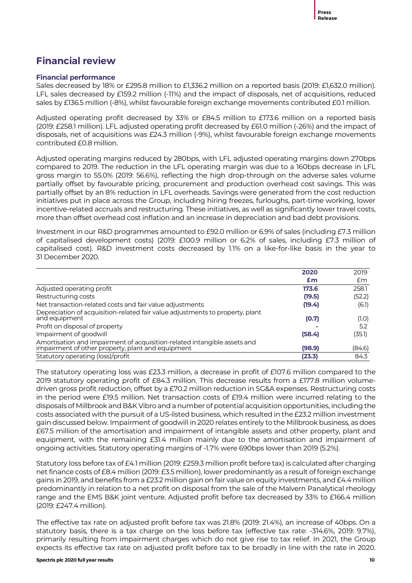# **Financial review**

# **Financial performance**

Sales decreased by 18% or £295.8 million to £1,336.2 million on a reported basis (2019: £1,632.0 million). LFL sales decreased by £159.2 million (-11%) and the impact of disposals, net of acquisitions, reduced sales by £136.5 million (-8%), whilst favourable foreign exchange movements contributed £0.1 million.

Adjusted operating profit decreased by 33% or £84.5 million to £173.6 million on a reported basis (2019: £258.1 million). LFL adjusted operating profit decreased by £61.0 million (-26%) and the impact of disposals, net of acquisitions was £24.3 million (-9%), whilst favourable foreign exchange movements contributed £0.8 million.

Adjusted operating margins reduced by 280bps, with LFL adjusted operating margins down 270bps compared to 2019. The reduction in the LFL operating margin was due to a 160bps decrease in LFL gross margin to 55.0% (2019: 56.6%), reflecting the high drop-through on the adverse sales volume partially offset by favourable pricing, procurement and production overhead cost savings. This was partially offset by an 8% reduction in LFL overheads. Savings were generated from the cost reduction initiatives put in place across the Group, including hiring freezes, furloughs, part-time working, lower incentive-related accruals and restructuring. These initiatives, as well as significantly lower travel costs, more than offset overhead cost inflation and an increase in depreciation and bad debt provisions.

Investment in our R&D programmes amounted to £92.0 million or 6.9% of sales (including £7.3 million of capitalised development costs) (2019: £100.9 million or 6.2% of sales, including £7.3 million of capitalised cost). R&D investment costs decreased by 1.1% on a like-for-like basis in the year to 31 December 2020.

|                                                                                                                               | 2020   | 2019   |
|-------------------------------------------------------------------------------------------------------------------------------|--------|--------|
|                                                                                                                               | £m     | £m     |
| Adjusted operating profit                                                                                                     | 173.6  | 258.1  |
| Restructuring costs                                                                                                           | (19.5) | (52.2) |
| Net transaction-related costs and fair value adjustments                                                                      | (19.4) | (6.1)  |
| Depreciation of acquisition-related fair value adjustments to property, plant<br>and equipment                                | (0.7)  | (1.0)  |
| Profit on disposal of property                                                                                                |        | 5.2    |
| Impairment of goodwill                                                                                                        | (58.4) | (35.1) |
| Amortisation and impairment of acquisition-related intangible assets and<br>impairment of other property, plant and equipment | (98.9) | (84.6) |
| Statutory operating (loss)/profit                                                                                             | (23.3) | 84.3   |

The statutory operating loss was £23.3 million, a decrease in profit of £107.6 million compared to the 2019 statutory operating profit of £84.3 million. This decrease results from a £177.8 million volumedriven gross profit reduction, offset by a £70.2 million reduction in SG&A expenses. Restructuring costs in the period were £19.5 million. Net transaction costs of £19.4 million were incurred relating to the disposals of Millbrook and B&K Vibro and a number of potential acquisition opportunities, including the costs associated with the pursuit of a US-listed business, which resulted in the £23.2 million investment gain discussed below. Impairment of goodwill in 2020 relates entirely to the Millbrook business, as does £67.5 million of the amortisation and impairment of intangible assets and other property, plant and equipment, with the remaining £31.4 million mainly due to the amortisation and impairment of ongoing activities. Statutory operating margins of -1.7% were 690bps lower than 2019 (5.2%).

Statutory loss before tax of £4.1 million (2019: £259.3 million profit before tax) is calculated after charging net finance costs of £8.4 million (2019: £3.5 million), lower predominantly as a result of foreign exchange gains in 2019, and benefits from a £23.2 million gain on fair value on equity investments, and £4.4 million predominantly in relation to a net profit on disposal from the sale of the Malvern Panalytical rheology range and the EMS B&K joint venture. Adjusted profit before tax decreased by 33% to £166.4 million (2019: £247.4 million).

The effective tax rate on adjusted profit before tax was 21.8% (2019: 21.4%), an increase of 40bps. On a statutory basis, there is a tax charge on the loss before tax (effective tax rate: -314.6%, 2019: 9.7%), primarily resulting from impairment charges which do not give rise to tax relief. In 2021, the Group expects its effective tax rate on adjusted profit before tax to be broadly in line with the rate in 2020.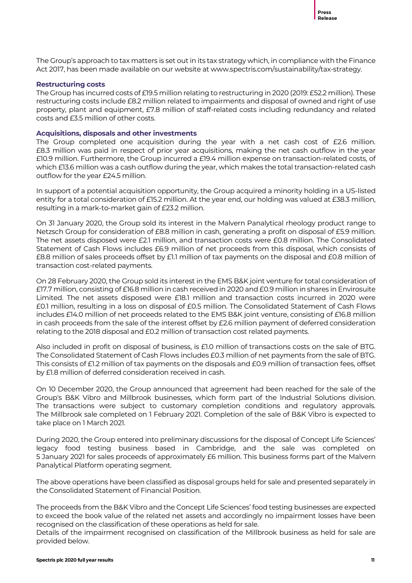The Group's approach to tax matters is set out in its tax strategy which, in compliance with the Finance Act 2017, has been made available on our website at www.spectris.com/sustainability/tax-strategy.

### **Restructuring costs**

The Group has incurred costs of £19.5 million relating to restructuring in 2020 (2019: £52.2 million). These restructuring costs include £8.2 million related to impairments and disposal of owned and right of use property, plant and equipment, £7.8 million of staff-related costs including redundancy and related costs and £3.5 million of other costs.

### **Acquisitions, disposals and other investments**

The Group completed one acquisition during the year with a net cash cost of £2.6 million. £8.3 million was paid in respect of prior year acquisitions, making the net cash outflow in the year £10.9 million. Furthermore, the Group incurred a £19.4 million expense on transaction-related costs, of which £13.6 million was a cash outflow during the year, which makes the total transaction-related cash outflow for the year £24.5 million.

In support of a potential acquisition opportunity, the Group acquired a minority holding in a US-listed entity for a total consideration of £15.2 million. At the year end, our holding was valued at £38.3 million, resulting in a mark-to-market gain of £23.2 million.

On 31 January 2020, the Group sold its interest in the Malvern Panalytical rheology product range to Netzsch Group for consideration of £8.8 million in cash, generating a profit on disposal of £5.9 million. The net assets disposed were £2.1 million, and transaction costs were £0.8 million. The Consolidated Statement of Cash Flows includes £6.9 million of net proceeds from this disposal, which consists of £8.8 million of sales proceeds offset by £1.1 million of tax payments on the disposal and £0.8 million of transaction cost-related payments.

On 28 February 2020, the Group sold its interest in the EMS B&K joint venture for total consideration of £17.7 million, consisting of £16.8 million in cash received in 2020 and £0.9 million in shares in Envirosuite Limited. The net assets disposed were £18.1 million and transaction costs incurred in 2020 were £0.1 million, resulting in a loss on disposal of £0.5 million. The Consolidated Statement of Cash Flows includes £14.0 million of net proceeds related to the EMS B&K joint venture, consisting of £16.8 million in cash proceeds from the sale of the interest offset by £2.6 million payment of deferred consideration relating to the 2018 disposal and £0.2 million of transaction cost related payments.

Also included in profit on disposal of business, is £1.0 million of transactions costs on the sale of BTG. The Consolidated Statement of Cash Flows includes £0.3 million of net payments from the sale of BTG. This consists of £1.2 million of tax payments on the disposals and £0.9 million of transaction fees, offset by £1.8 million of deferred consideration received in cash.

On 10 December 2020, the Group announced that agreement had been reached for the sale of the Group's B&K Vibro and Millbrook businesses, which form part of the Industrial Solutions division. The transactions were subject to customary completion conditions and regulatory approvals. The Millbrook sale completed on 1 February 2021. Completion of the sale of B&K Vibro is expected to take place on 1 March 2021.

During 2020, the Group entered into preliminary discussions for the disposal of Concept Life Sciences' legacy food testing business based in Cambridge, and the sale was completed on 5 January 2021 for sales proceeds of approximately £6 million. This business forms part of the Malvern Panalytical Platform operating segment.

The above operations have been classified as disposal groups held for sale and presented separately in the Consolidated Statement of Financial Position.

The proceeds from the B&K Vibro and the Concept Life Sciences' food testing businesses are expected to exceed the book value of the related net assets and accordingly no impairment losses have been recognised on the classification of these operations as held for sale.

Details of the impairment recognised on classification of the Millbrook business as held for sale are provided below.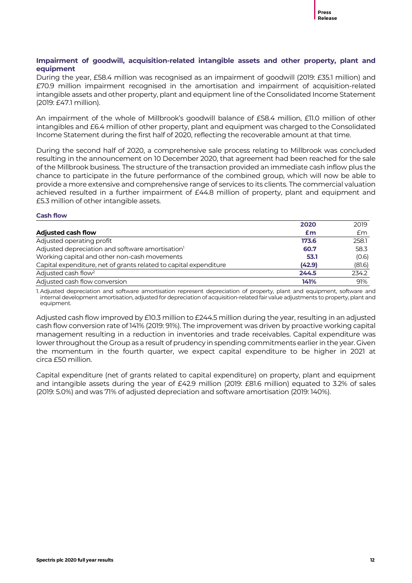# **Impairment of goodwill, acquisition-related intangible assets and other property, plant and equipment**

During the year, £58.4 million was recognised as an impairment of goodwill (2019: £35.1 million) and £70.9 million impairment recognised in the amortisation and impairment of acquisition-related intangible assets and other property, plant and equipment line of the Consolidated Income Statement (2019: £47.1 million).

An impairment of the whole of Millbrook's goodwill balance of £58.4 million, £11.0 million of other intangibles and £6.4 million of other property, plant and equipment was charged to the Consolidated Income Statement during the first half of 2020, reflecting the recoverable amount at that time.

During the second half of 2020, a comprehensive sale process relating to Millbrook was concluded resulting in the announcement on 10 December 2020, that agreement had been reached for the sale of the Millbrook business. The structure of the transaction provided an immediate cash inflow plus the chance to participate in the future performance of the combined group, which will now be able to provide a more extensive and comprehensive range of services to its clients. The commercial valuation achieved resulted in a further impairment of £44.8 million of property, plant and equipment and £5.3 million of other intangible assets.

# **Cash flow**

|                                                                   | 2020   | 2019   |
|-------------------------------------------------------------------|--------|--------|
| <b>Adjusted cash flow</b>                                         | £m     | £m     |
| Adjusted operating profit                                         | 173.6  | 258.1  |
| Adjusted depreciation and software amortisation <sup>1</sup>      | 60.7   | 58.3   |
| Working capital and other non-cash movements                      | 53.1   | (0.6)  |
| Capital expenditure, net of grants related to capital expenditure | (42.9) | (81.6) |
| Adjusted cash flow <sup>2</sup>                                   | 244.5  | 234.2  |
| Adjusted cash flow conversion                                     | 141%   | 91%    |

1. Adjusted depreciation and software amortisation represent depreciation of property, plant and equipment, software and internal development amortisation, adjusted for depreciation of acquisition-related fair value adjustments to property, plant and equipment.

Adjusted cash flow improved by £10.3 million to £244.5 million during the year, resulting in an adjusted cash flow conversion rate of 141% (2019: 91%). The improvement was driven by proactive working capital management resulting in a reduction in inventories and trade receivables. Capital expenditure was lower throughout the Group as a result of prudency in spending commitments earlier in the year. Given the momentum in the fourth quarter, we expect capital expenditure to be higher in 2021 at circa £50 million.

Capital expenditure (net of grants related to capital expenditure) on property, plant and equipment and intangible assets during the year of £42.9 million (2019: £81.6 million) equated to 3.2% of sales (2019: 5.0%) and was 71% of adjusted depreciation and software amortisation (2019: 140%).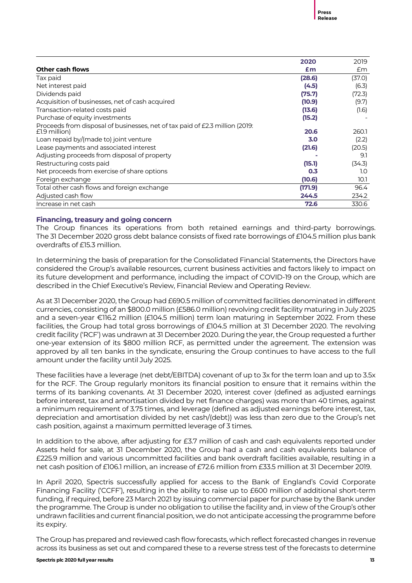|                                                                                                 | 2020    | 2019   |
|-------------------------------------------------------------------------------------------------|---------|--------|
| <b>Other cash flows</b>                                                                         | Em      | £m     |
| Tax paid                                                                                        | (28.6)  | (37.0) |
| Net interest paid                                                                               | (4.5)   | (6.3)  |
| Dividends paid                                                                                  | (75.7)  | (72.3) |
| Acquisition of businesses, net of cash acquired                                                 | (10.9)  | (9.7)  |
| Transaction-related costs paid                                                                  | (13.6)  | (1.6)  |
| Purchase of equity investments                                                                  | (15.2)  |        |
| Proceeds from disposal of businesses, net of tax paid of £2.3 million (2019:<br>$E1.9$ million) | 20.6    | 260.1  |
| Loan repaid by/(made to) joint venture                                                          | 3.0     | (2.2)  |
| Lease payments and associated interest                                                          | (21.6)  | (20.5) |
| Adjusting proceeds from disposal of property                                                    |         | 9.1    |
| Restructuring costs paid                                                                        | (15.1)  | (34.3) |
| Net proceeds from exercise of share options                                                     | 0.3     | 1.0    |
| Foreign exchange                                                                                | (10.6)  | 10.1   |
| Total other cash flows and foreign exchange                                                     | (171.9) | 96.4   |
| Adjusted cash flow                                                                              | 244.5   | 234.2  |
| Increase in net cash                                                                            | 72.6    | 330.6  |

# **Financing, treasury and going concern**

The Group finances its operations from both retained earnings and third-party borrowings. The 31 December 2020 gross debt balance consists of fixed rate borrowings of £104.5 million plus bank overdrafts of £15.3 million.

In determining the basis of preparation for the Consolidated Financial Statements, the Directors have considered the Group's available resources, current business activities and factors likely to impact on its future development and performance, including the impact of COVID-19 on the Group, which are described in the Chief Executive's Review, Financial Review and Operating Review.

As at 31 December 2020, the Group had £690.5 million of committed facilities denominated in different currencies, consisting of an \$800.0 million (£586.0 million) revolving credit facility maturing in July 2025 and a seven-year €116.2 million (£104.5 million) term loan maturing in September 2022. From these facilities, the Group had total gross borrowings of £104.5 million at 31 December 2020. The revolving credit facility ('RCF') was undrawn at 31 December 2020. During the year, the Group requested a further one-year extension of its \$800 million RCF, as permitted under the agreement. The extension was approved by all ten banks in the syndicate, ensuring the Group continues to have access to the full amount under the facility until July 2025.

These facilities have a leverage (net debt/EBITDA) covenant of up to 3x for the term loan and up to 3.5x for the RCF. The Group regularly monitors its financial position to ensure that it remains within the terms of its banking covenants. At 31 December 2020, interest cover (defined as adjusted earnings before interest, tax and amortisation divided by net finance charges) was more than 40 times, against a minimum requirement of 3.75 times, and leverage (defined as adjusted earnings before interest, tax, depreciation and amortisation divided by net cash/(debt)) was less than zero due to the Group's net cash position, against a maximum permitted leverage of 3 times.

In addition to the above, after adjusting for £3.7 million of cash and cash equivalents reported under Assets held for sale, at 31 December 2020, the Group had a cash and cash equivalents balance of £225.9 million and various uncommitted facilities and bank overdraft facilities available, resulting in a net cash position of £106.1 million, an increase of £72.6 million from £33.5 million at 31 December 2019.

In April 2020, Spectris successfully applied for access to the Bank of England's Covid Corporate Financing Facility ('CCFF'), resulting in the ability to raise up to £600 million of additional short-term funding, if required, before 23 March 2021 by issuing commercial paper for purchase by the Bank under the programme. The Group is under no obligation to utilise the facility and, in view of the Group's other undrawn facilities and current financial position, we do not anticipate accessing the programme before its expiry.

The Group has prepared and reviewed cash flow forecasts, which reflect forecasted changes in revenue across its business as set out and compared these to a reverse stress test of the forecasts to determine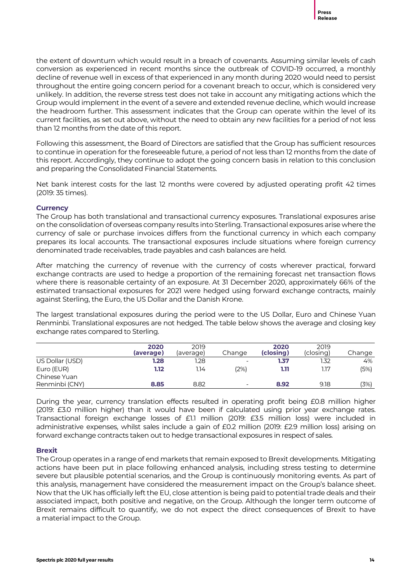the extent of downturn which would result in a breach of covenants. Assuming similar levels of cash conversion as experienced in recent months since the outbreak of COVID-19 occurred, a monthly decline of revenue well in excess of that experienced in any month during 2020 would need to persist throughout the entire going concern period for a covenant breach to occur, which is considered very unlikely. In addition, the reverse stress test does not take in account any mitigating actions which the Group would implement in the event of a severe and extended revenue decline, which would increase the headroom further. This assessment indicates that the Group can operate within the level of its current facilities, as set out above, without the need to obtain any new facilities for a period of not less than 12 months from the date of this report.

Following this assessment, the Board of Directors are satisfied that the Group has sufficient resources to continue in operation for the foreseeable future, a period of not less than 12 months from the date of this report. Accordingly, they continue to adopt the going concern basis in relation to this conclusion and preparing the Consolidated Financial Statements.

Net bank interest costs for the last 12 months were covered by adjusted operating profit 42 times (2019: 35 times).

# **Currency**

The Group has both translational and transactional currency exposures. Translational exposures arise on the consolidation of overseas company results into Sterling. Transactional exposures arise where the currency of sale or purchase invoices differs from the functional currency in which each company prepares its local accounts. The transactional exposures include situations where foreign currency denominated trade receivables, trade payables and cash balances are held.

After matching the currency of revenue with the currency of costs wherever practical, forward exchange contracts are used to hedge a proportion of the remaining forecast net transaction flows where there is reasonable certainty of an exposure. At 31 December 2020, approximately 66% of the estimated transactional exposures for 2021 were hedged using forward exchange contracts, mainly against Sterling, the Euro, the US Dollar and the Danish Krone.

The largest translational exposures during the period were to the US Dollar, Euro and Chinese Yuan Renminbi. Translational exposures are not hedged. The table below shows the average and closing key exchange rates compared to Sterling.

|                                | 2020<br>(average) | 2019<br>(average) | Change                   | 2020<br>(closing) | 2019<br>(closing) | Change |
|--------------------------------|-------------------|-------------------|--------------------------|-------------------|-------------------|--------|
| US Dollar (USD)                | 1.28              | 1.28              | $\overline{\phantom{a}}$ | 1.37              | 1.32              | 4%     |
| Euro (EUR)                     | 1.12              | 1.14              | (2%)                     | 1.11              | 1.17              | (5%)   |
| Chinese Yuan<br>Renminbi (CNY) | 8.85              | 8.82              | $\overline{\phantom{a}}$ | 8.92              | 9.18              | (3%)   |

During the year, currency translation effects resulted in operating profit being £0.8 million higher (2019: £3.0 million higher) than it would have been if calculated using prior year exchange rates. Transactional foreign exchange losses of £1.1 million (2019: £3.5 million loss) were included in administrative expenses, whilst sales include a gain of £0.2 million (2019: £2.9 million loss) arising on forward exchange contracts taken out to hedge transactional exposures in respect of sales.

# **Brexit**

The Group operates in a range of end markets that remain exposed to Brexit developments. Mitigating actions have been put in place following enhanced analysis, including stress testing to determine severe but plausible potential scenarios, and the Group is continuously monitoring events. As part of this analysis, management have considered the measurement impact on the Group's balance sheet. Now that the UK has officially left the EU, close attention is being paid to potential trade deals and their associated impact, both positive and negative, on the Group. Although the longer term outcome of Brexit remains difficult to quantify, we do not expect the direct consequences of Brexit to have a material impact to the Group.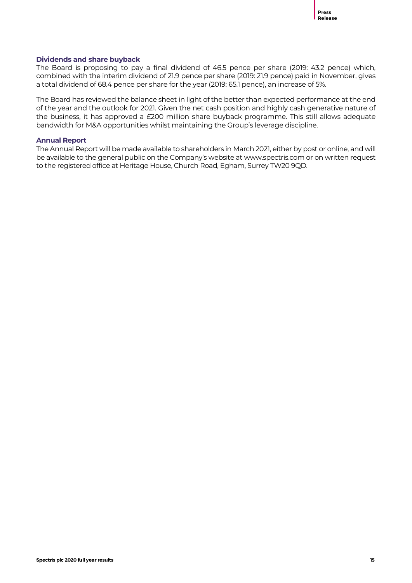# **Dividends and share buyback**

The Board is proposing to pay a final dividend of 46.5 pence per share (2019: 43.2 pence) which, combined with the interim dividend of 21.9 pence per share (2019: 21.9 pence) paid in November, gives a total dividend of 68.4 pence per share for the year (2019: 65.1 pence), an increase of 5%.

The Board has reviewed the balance sheet in light of the better than expected performance at the end of the year and the outlook for 2021. Given the net cash position and highly cash generative nature of the business, it has approved a £200 million share buyback programme. This still allows adequate bandwidth for M&A opportunities whilst maintaining the Group's leverage discipline.

# **Annual Report**

The Annual Report will be made available to shareholders in March 2021, either by post or online, and will be available to the general public on the Company's website at www.spectris.com or on written request to the registered office at Heritage House, Church Road, Egham, Surrey TW20 9QD.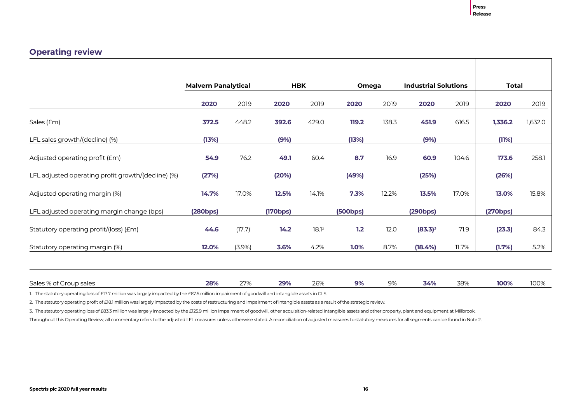# **Operating review**

|                                                    | <b>Malvern Panalytical</b> |            |          | <b>HBK</b>        |          | Omega | <b>Industrial Solutions</b> |       | Total    |         |
|----------------------------------------------------|----------------------------|------------|----------|-------------------|----------|-------|-----------------------------|-------|----------|---------|
|                                                    | 2020                       | 2019       | 2020     | 2019              | 2020     | 2019  | 2020                        | 2019  | 2020     | 2019    |
| Sales (£m)                                         | 372.5                      | 448.2      | 392.6    | 429.0             | 119.2    | 138.3 | 451.9                       | 616.5 | 1,336.2  | 1,632.0 |
| LFL sales growth/(decline) (%)                     | (13%)                      |            | (9%)     |                   | (13%)    |       | (9%)                        |       | (11%)    |         |
| Adjusted operating profit (£m)                     | 54.9                       | 76.2       | 49.1     | 60.4              | 8.7      | 16.9  | 60.9                        | 104.6 | 173.6    | 258.1   |
| LFL adjusted operating profit growth/(decline) (%) | (27%)                      |            | (20%)    |                   | (49%)    |       | (25%)                       |       | (26%)    |         |
| Adjusted operating margin (%)                      | 14.7%                      | 17.0%      | 12.5%    | 14.1%             | 7.3%     | 12.2% | 13.5%                       | 17.0% | 13.0%    | 15.8%   |
| LFL adjusted operating margin change (bps)         | (280bps)                   |            | (170bps) |                   | (500bps) |       | (290bps)                    |       | (270bps) |         |
| Statutory operating profit/(loss) (£m)             | 44.6                       | $(17.7)^1$ | 14.2     | 18.1 <sup>2</sup> | 1.2      | 12.0  | $(83.3)^3$                  | 71.9  | (23.3)   | 84.3    |
| Statutory operating margin (%)                     | 12.0%                      | $(3.9\%)$  | 3.6%     | 4.2%              | 1.0%     | 8.7%  | (18.4%)                     | 11.7% | (1.7%)   | 5.2%    |
|                                                    |                            |            |          |                   |          |       |                             |       |          |         |
| Sales % of Group sales                             | 28%                        | 27%        | 29%      | 26%               | 9%       | 9%    | 34%                         | 38%   | 100%     | 100%    |

1. The statutory operating loss of £17.7 million was largely impacted by the £67.5 million impairment of goodwill and intangible assets in CLS.

2. The statutory operating profit of £18.1 million was largely impacted by the costs of restructuring and impairment of intangible assets as a result of the strategic review.

3. The statutory operating loss of £83.3 million was largely impacted by the £125.9 million impairment of goodwill, other acquisition-related intangible assets and other property, plant and equipment at Millbrook.

Throughout this Operating Review, all commentary refers to the adjusted LFL measures unless otherwise stated. A reconciliation of adjusted measures to statutory measures for all segments can be found in Note 2.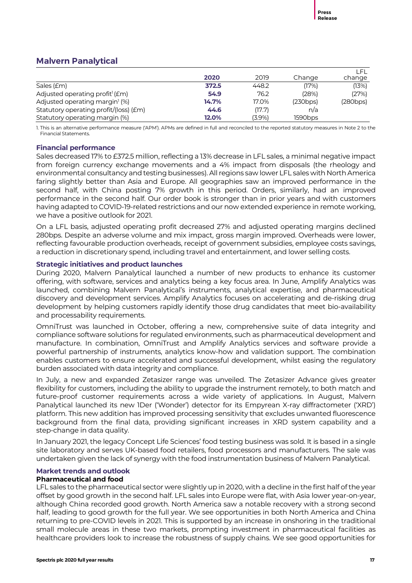# **Malvern Panalytical**

|                                             |       |        |          | LEL.     |
|---------------------------------------------|-------|--------|----------|----------|
|                                             | 2020  | 2019   | Change   | change   |
| Sales (£m)                                  | 372.5 | 448.2  | (17%)    | (13%)    |
| Adjusted operating profit <sup>1</sup> (£m) | 54.9  | 76.2   | (28%)    | (27%)    |
| Adjusted operating margin <sup>1</sup> (%)  | 14.7% | 17.0%  | (230bps) | (280bps) |
| Statutory operating profit/(loss) (£m)      | 44.6  | (17.7) | n/a      |          |
| Statutory operating margin (%)              | 12.0% | (3.9%) | 1590bps  |          |

1. This is an alternative performance measure ('APM'). APMs are defined in full and reconciled to the reported statutory measures in Note 2 to the Financial Statements.

# **Financial performance**

Sales decreased 17% to £372.5 million, reflecting a 13% decrease in LFL sales, a minimal negative impact from foreign currency exchange movements and a 4% impact from disposals (the rheology and environmental consultancy and testing businesses). All regions saw lower LFL sales with North America faring slightly better than Asia and Europe. All geographies saw an improved performance in the second half, with China posting 7% growth in this period. Orders, similarly, had an improved performance in the second half. Our order book is stronger than in prior years and with customers having adapted to COVID-19-related restrictions and our now extended experience in remote working, we have a positive outlook for 2021.

On a LFL basis, adjusted operating profit decreased 27% and adjusted operating margins declined 280bps. Despite an adverse volume and mix impact, gross margin improved. Overheads were lower, reflecting favourable production overheads, receipt of government subsidies, employee costs savings, a reduction in discretionary spend, including travel and entertainment, and lower selling costs.

# **Strategic initiatives and product launches**

During 2020, Malvern Panalytical launched a number of new products to enhance its customer offering, with software, services and analytics being a key focus area. In June, Amplify Analytics was launched, combining Malvern Panalytical's instruments, analytical expertise, and pharmaceutical discovery and development services. Amplify Analytics focuses on accelerating and de-risking drug development by helping customers rapidly identify those drug candidates that meet bio-availability and processability requirements.

OmniTrust was launched in October, offering a new, comprehensive suite of data integrity and compliance software solutions for regulated environments, such as pharmaceutical development and manufacture. In combination, OmniTrust and Amplify Analytics services and software provide a powerful partnership of instruments, analytics know-how and validation support. The combination enables customers to ensure accelerated and successful development, whilst easing the regulatory burden associated with data integrity and compliance.

In July, a new and expanded Zetasizer range was unveiled. The Zetasizer Advance gives greater flexibility for customers, including the ability to upgrade the instrument remotely, to both match and future-proof customer requirements across a wide variety of applications. In August, Malvern Panalytical launched its new 1Der ('Wonder') detector for its Empyrean X-ray diffractometer ('XRD') platform. This new addition has improved processing sensitivity that excludes unwanted fluorescence background from the final data, providing significant increases in XRD system capability and a step-change in data quality.

In January 2021, the legacy Concept Life Sciences' food testing business was sold. It is based in a single site laboratory and serves UK-based food retailers, food processors and manufacturers. The sale was undertaken given the lack of synergy with the food instrumentation business of Malvern Panalytical.

# **Market trends and outlook**

# **Pharmaceutical and food**

LFL sales to the pharmaceutical sector were slightly up in 2020, with a decline in the first half of the year offset by good growth in the second half. LFL sales into Europe were flat, with Asia lower year-on-year, although China recorded good growth. North America saw a notable recovery with a strong second half, leading to good growth for the full year. We see opportunities in both North America and China returning to pre-COVID levels in 2021. This is supported by an increase in onshoring in the traditional small molecule areas in these two markets, prompting investment in pharmaceutical facilities as healthcare providers look to increase the robustness of supply chains. We see good opportunities for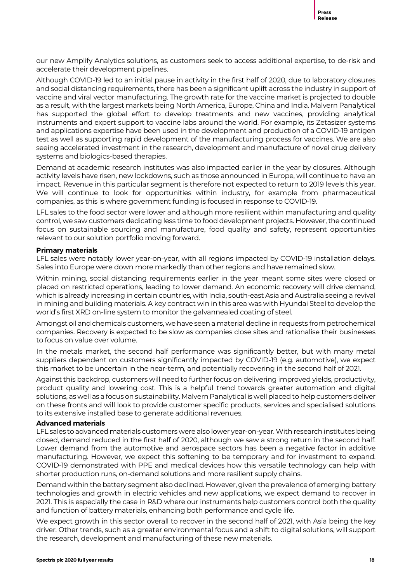our new Amplify Analytics solutions, as customers seek to access additional expertise, to de-risk and accelerate their development pipelines.

Although COVID-19 led to an initial pause in activity in the first half of 2020, due to laboratory closures and social distancing requirements, there has been a significant uplift across the industry in support of vaccine and viral vector manufacturing. The growth rate for the vaccine market is projected to double as a result, with the largest markets being North America, Europe, China and India. Malvern Panalytical has supported the global effort to develop treatments and new vaccines, providing analytical instruments and expert support to vaccine labs around the world. For example, its Zetasizer systems and applications expertise have been used in the development and production of a COVID-19 antigen test as well as supporting rapid development of the manufacturing process for vaccines. We are also seeing accelerated investment in the research, development and manufacture of novel drug delivery systems and biologics-based therapies.

Demand at academic research institutes was also impacted earlier in the year by closures. Although activity levels have risen, new lockdowns, such as those announced in Europe, will continue to have an impact. Revenue in this particular segment is therefore not expected to return to 2019 levels this year. We will continue to look for opportunities within industry, for example from pharmaceutical companies, as this is where government funding is focused in response to COVID-19.

LFL sales to the food sector were lower and although more resilient within manufacturing and quality control, we saw customers dedicating less time to food development projects. However, the continued focus on sustainable sourcing and manufacture, food quality and safety, represent opportunities relevant to our solution portfolio moving forward.

# **Primary materials**

LFL sales were notably lower year-on-year, with all regions impacted by COVID-19 installation delays. Sales into Europe were down more markedly than other regions and have remained slow.

Within mining, social distancing requirements earlier in the year meant some sites were closed or placed on restricted operations, leading to lower demand. An economic recovery will drive demand, which is already increasing in certain countries, with India, south-east Asia and Australia seeing a revival in mining and building materials. A key contract win in this area was with Hyundai Steel to develop the world's first XRD on-line system to monitor the galvannealed coating of steel.

Amongst oil and chemicals customers, we have seen a material decline in requests from petrochemical companies. Recovery is expected to be slow as companies close sites and rationalise their businesses to focus on value over volume.

In the metals market, the second half performance was significantly better, but with many metal suppliers dependent on customers significantly impacted by COVID-19 (e.g. automotive), we expect this market to be uncertain in the near-term, and potentially recovering in the second half of 2021.

Against this backdrop, customers will need to further focus on delivering improved yields, productivity, product quality and lowering cost. This is a helpful trend towards greater automation and digital solutions, as well as a focus on sustainability. Malvern Panalytical is well placed to help customers deliver on these fronts and will look to provide customer specific products, services and specialised solutions to its extensive installed base to generate additional revenues.

# **Advanced materials**

LFL sales to advanced materials customers were also lower year-on-year. With research institutes being closed, demand reduced in the first half of 2020, although we saw a strong return in the second half. Lower demand from the automotive and aerospace sectors has been a negative factor in additive manufacturing. However, we expect this softening to be temporary and for investment to expand. COVID-19 demonstrated with PPE and medical devices how this versatile technology can help with shorter production runs, on-demand solutions and more resilient supply chains.

Demand within the battery segment also declined. However, given the prevalence of emerging battery technologies and growth in electric vehicles and new applications, we expect demand to recover in 2021. This is especially the case in R&D where our instruments help customers control both the quality and function of battery materials, enhancing both performance and cycle life.

We expect growth in this sector overall to recover in the second half of 2021, with Asia being the key driver. Other trends, such as a greater environmental focus and a shift to digital solutions, will support the research, development and manufacturing of these new materials.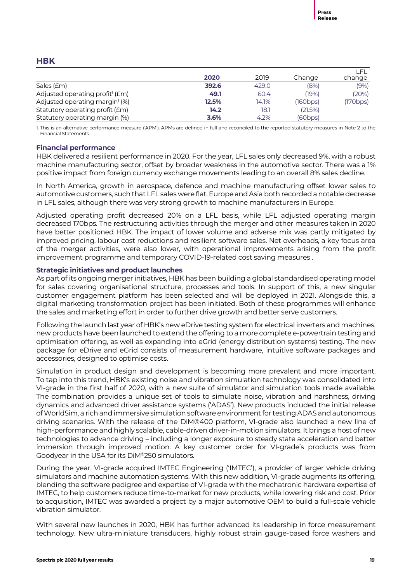# **HBK**

|                                             |       |       |          | LFL      |
|---------------------------------------------|-------|-------|----------|----------|
|                                             | 2020  | 2019  | Change   | change   |
| Sales (£m)                                  | 392.6 | 429.0 | (8%)     | (9% )    |
| Adjusted operating profit <sup>1</sup> (£m) | 49.1  | 60.4  | (19%)    | (20%)    |
| Adjusted operating margin <sup>1</sup> (%)  | 12.5% | 14.1% | (160bps) | (170bps) |
| Statutory operating profit (£m)             | 14.2  | 18.1  | (21.5%)  |          |
| Statutory operating margin (%)              | 3.6%  | 4.2%  | (60bps)  |          |

1. This is an alternative performance measure ('APM'). APMs are defined in full and reconciled to the reported statutory measures in Note 2 to the Financial Statements.

# **Financial performance**

HBK delivered a resilient performance in 2020. For the year, LFL sales only decreased 9%, with a robust machine manufacturing sector, offset by broader weakness in the automotive sector. There was a 1% positive impact from foreign currency exchange movements leading to an overall 8% sales decline.

In North America, growth in aerospace, defence and machine manufacturing offset lower sales to automotive customers, such that LFL sales were flat. Europe and Asia both recorded anotabledecrease in LFL sales, although there was very strong growth to machine manufacturers in Europe.

Adjusted operating profit decreased 20% on a LFL basis, while LFL adjusted operating margin decreased 170bps. The restructuring activities through the merger and other measures taken in 2020 have better positioned HBK. The impact of lower volume and adverse mix was partly mitigated by improved pricing, labour cost reductions and resilient software sales. Net overheads, a key focus area of the merger activities, were also lower, with operational improvements arising from the profit improvement programme and temporary COVID-19-related cost saving measures .

# **Strategic initiatives and product launches**

As part of its ongoing merger initiatives, HBK has been building a global standardised operating model for sales covering organisational structure, processes and tools. In support of this, a new singular customer engagement platform has been selected and will be deployed in 2021. Alongside this, a digital marketing transformation project has been initiated. Both of these programmes will enhance the sales and marketing effort in order to further drive growth and better serve customers.

Following the launch last year of HBK's new eDrive testing system for electrical inverters and machines, new products have been launched to extend the offering to a more complete e-powertrain testing and optimisation offering, as well as expanding into eGrid (energy distribution systems) testing. The new package for eDrive and eGrid consists of measurement hardware, intuitive software packages and accessories, designed to optimise costs.

Simulation in product design and development is becoming more prevalent and more important. To tap into this trend, HBK's existing noise and vibration simulation technology was consolidated into VI-grade in the first half of 2020, with a new suite of simulator and simulation tools made available. The combination provides a unique set of tools to simulate noise, vibration and harshness, driving dynamics and advanced driver assistance systems ('ADAS'). New products included the initial release of WorldSim, a rich and immersive simulation software environment for testing ADAS and autonomous driving scenarios. With the release of the DiM®400 platform, VI-grade also launched a new line of high-performance and highly scalable, cable-driven driver-in-motion simulators. It brings a host of new technologies to advance driving – including a longer exposure to steady state acceleration and better immersion through improved motion. A key customer order for VI-grade's products was from Goodyear in the USA for its DiM®250 simulators.

During the year, VI-grade acquired IMTEC Engineering ('IMTEC'), a provider of larger vehicle driving simulators and machine automation systems. With this new addition, VI-grade augments its offering, blending the software pedigree and expertise of VI-grade with the mechatronic hardware expertise of IMTEC, to help customers reduce time-to-market for new products, while lowering risk and cost. Prior to acquisition, IMTEC was awarded a project by a major automotive OEM to build a full-scale vehicle vibration simulator.

With several new launches in 2020, HBK has further advanced its leadership in force measurement technology. New ultra-miniature transducers, highly robust strain gauge-based force washers and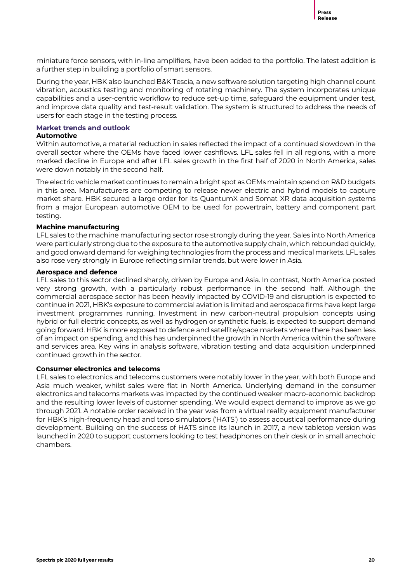miniature force sensors, with in-line amplifiers, have been added to the portfolio. The latest addition is a further step in building a portfolio of smart sensors.

During the year, HBK also launched B&K Tescia, a new software solution targeting high channel count vibration, acoustics testing and monitoring of rotating machinery. The system incorporates unique capabilities and a user-centric workflow to reduce set-up time, safeguard the equipment under test, and improve data quality and test-result validation. The system is structured to address the needs of users for each stage in the testing process.

# **Market trends and outlook**

## **Automotive**

Within automotive, a material reduction in sales reflected the impact of a continued slowdown in the overall sector where the OEMs have faced lower cashflows. LFL sales fell in all regions, with a more marked decline in Europe and after LFL sales growth in the first half of 2020 in North America, sales were down notably in the second half.

The electric vehicle market continues to remain a bright spot as OEMs maintain spend on R&D budgets in this area. Manufacturers are competing to release newer electric and hybrid models to capture market share. HBK secured a large order for its QuantumX and Somat XR data acquisition systems from a major European automotive OEM to be used for powertrain, battery and component part testing.

# **Machine manufacturing**

LFL sales to the machine manufacturing sector rose strongly during the year. Sales into North America were particularly strong due to the exposure to the automotive supply chain, which rebounded quickly, and good onward demand for weighing technologies from the process and medical markets. LFL sales also rose very strongly in Europe reflecting similar trends, but were lower in Asia.

### **Aerospace and defence**

LFL sales to this sector declined sharply, driven by Europe and Asia. In contrast, North America posted very strong growth, with a particularly robust performance in the second half. Although the commercial aerospace sector has been heavily impacted by COVID-19 and disruption is expected to continue in 2021, HBK's exposure to commercial aviation is limited and aerospace firms have kept large investment programmes running. Investment in new carbon-neutral propulsion concepts using hybrid or full electric concepts, as well as hydrogen or synthetic fuels, is expected to support demand going forward. HBK is more exposed to defence and satellite/space markets where there has been less of an impact on spending, and this has underpinned the growth in North America within the software and services area. Key wins in analysis software, vibration testing and data acquisition underpinned continued growth in the sector.

# **Consumer electronics and telecoms**

LFL sales to electronics and telecoms customers were notably lower in the year, with both Europe and Asia much weaker, whilst sales were flat in North America. Underlying demand in the consumer electronics and telecoms markets was impacted by the continued weaker macro-economic backdrop and the resulting lower levels of customer spending. We would expect demand to improve as we go through 2021. A notable order received in the year was from a virtual reality equipment manufacturer for HBK's high-frequency head and torso simulators ('HATS') to assess acoustical performance during development. Building on the success of HATS since its launch in 2017, a new tabletop version was launched in 2020 to support customers looking to test headphones on their desk or in small anechoic chambers.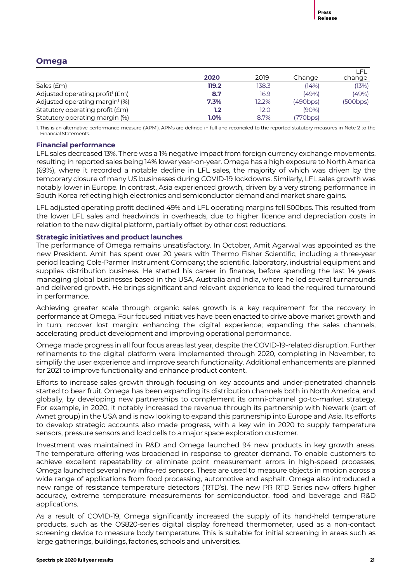# **Omega**

|                                             | 2020    | 2019  | Change   | LFL<br>change |
|---------------------------------------------|---------|-------|----------|---------------|
| Sales (£m)                                  | 119.2   | 138.3 | (14%)    | (13%)         |
| Adjusted operating profit <sup>1</sup> (£m) | 8.7     | 16.9  | (49%)    | (49%)         |
| Adjusted operating margin <sup>1</sup> (%)  | 7.3%    | 12.2% | (490bps) | (500bps)      |
| Statutory operating profit (£m)             | 1.2     | 12.0  | $(90\%)$ |               |
| Statutory operating margin (%)              | $1.0\%$ | 8.7%  | (770bps) |               |

1. This is an alternative performance measure ('APM'). APMs are defined in full and reconciled to the reported statutory measures in Note 2 to the Financial Statements.

# **Financial performance**

LFL sales decreased 13%. There was a 1% negative impact from foreign currency exchange movements, resulting in reported sales being 14% lower year-on-year. Omega has a high exposure to North America (69%), where it recorded a notable decline in LFL sales, the majority of which was driven by the temporary closure of many US businesses during COVID-19 lockdowns. Similarly, LFL sales growth was notably lower in Europe. In contrast, Asia experienced growth, driven by a very strong performance in South Korea reflecting high electronics and semiconductor demand and market share gains.

LFL adjusted operating profit declined 49% and LFL operating margins fell 500bps. This resulted from the lower LFL sales and headwinds in overheads, due to higher licence and depreciation costs in relation to the new digital platform, partially offset by other cost reductions.

# **Strategic initiatives and product launches**

The performance of Omega remains unsatisfactory. In October, Amit Agarwal was appointed as the new President. Amit has spent over 20 years with Thermo Fisher Scientific, including a three-year period leading Cole-Parmer Instrument Company; the scientific, laboratory, industrial equipment and supplies distribution business. He started his career in finance, before spending the last 14 years managing global businesses based in the USA, Australia and India, where he led several turnarounds and delivered growth. He brings significant and relevant experience to lead the required turnaround in performance.

Achieving greater scale through organic sales growth is a key requirement for the recovery in performance at Omega. Four focused initiatives have been enacted to drive above market growth and in turn, recover lost margin: enhancing the digital experience; expanding the sales channels; accelerating product development and improving operational performance.

Omega made progress in all four focus areas last year, despite the COVID-19-related disruption. Further refinements to the digital platform were implemented through 2020, completing in November, to simplify the user experience and improve search functionality. Additional enhancements are planned for 2021 to improve functionality and enhance product content.

Efforts to increase sales growth through focusing on key accounts and under-penetrated channels started to bear fruit. Omega has been expanding its distribution channels both in North America, and globally, by developing new partnerships to complement its omni-channel go-to-market strategy. For example, in 2020, it notably increased the revenue through its partnership with Newark (part of Avnet group) in the USA and is now looking to expand this partnership into Europe and Asia. Its efforts to develop strategic accounts also made progress, with a key win in 2020 to supply temperature sensors, pressure sensors and load cells to a major space exploration customer.

Investment was maintained in R&D and Omega launched 94 new products in key growth areas. The temperature offering was broadened in response to greater demand. To enable customers to achieve excellent repeatability or eliminate point measurement errors in high-speed processes, Omega launched several new infra-red sensors. These are used to measure objects in motion across a wide range of applications from food processing, automotive and asphalt. Omega also introduced a new range of resistance temperature detectors ('RTD's). The new PR RTD Series now offers higher accuracy, extreme temperature measurements for semiconductor, food and beverage and R&D applications.

As a result of COVID-19, Omega significantly increased the supply of its hand-held temperature products, such as the OS820-series digital display forehead thermometer, used as a non-contact screening device to measure body temperature. This is suitable for initial screening in areas such as large gatherings, buildings, factories, schools and universities.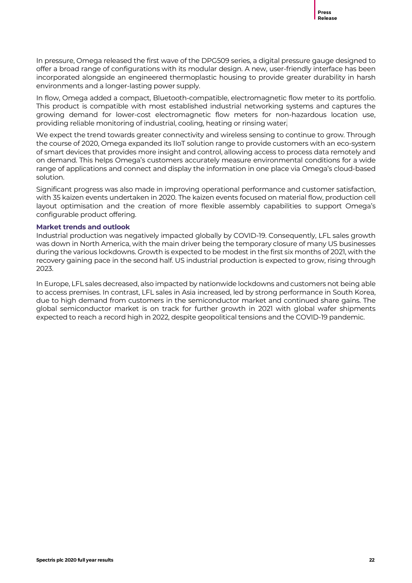In pressure, Omega released the first wave of the DPG509 series, a digital pressure gauge designed to offer a broad range of configurations with its modular design. A new, user-friendly interface has been incorporated alongside an engineered thermoplastic housing to provide greater durability in harsh environments and a longer-lasting power supply.

In flow, Omega added a compact, Bluetooth-compatible, electromagnetic flow meter to its portfolio. This product is compatible with most established industrial networking systems and captures the growing demand for lower-cost electromagnetic flow meters for non-hazardous location use, providing reliable monitoring of industrial, cooling, heating or rinsing water.

We expect the trend towards greater connectivity and wireless sensing to continue to grow. Through the course of 2020, Omega expanded its IIoT solution range to provide customers with an eco-system of smart devices that provides more insight and control, allowing access to process data remotely and on demand. This helps Omega's customers accurately measure environmental conditions for a wide range of applications and connect and display the information in one place via Omega's cloud-based solution.

Significant progress was also made in improving operational performance and customer satisfaction, with 35 kaizen events undertaken in 2020. The kaizen events focused on material flow, production cell layout optimisation and the creation of more flexible assembly capabilities to support Omega's configurable product offering.

# **Market trends and outlook**

Industrial production was negatively impacted globally by COVID-19. Consequently, LFL sales growth was down in North America, with the main driver being the temporary closure of many US businesses during the various lockdowns. Growth is expected to be modest in the first six months of 2021, with the recovery gaining pace in the second half. US industrial production is expected to grow, rising through 2023.

In Europe, LFL sales decreased, also impacted by nationwide lockdowns and customers not being able to access premises. In contrast, LFL sales in Asia increased, led by strong performance in South Korea, due to high demand from customers in the semiconductor market and continued share gains. The global semiconductor market is on track for further growth in 2021 with global wafer shipments expected to reach a record high in 2022, despite geopolitical tensions and the COVID-19 pandemic.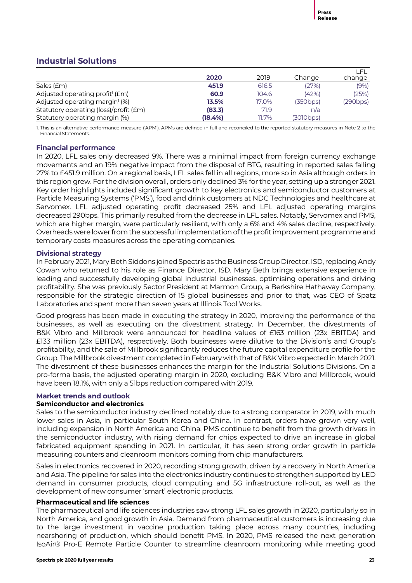# **Industrial Solutions**

|                                             | 2020    | 2019     | Change    | LET.<br>change |
|---------------------------------------------|---------|----------|-----------|----------------|
| Sales (£m)                                  | 451.9   | 616.5    | (27%)     | (9%)           |
| Adjusted operating profit <sup>1</sup> (£m) | 60.9    | 104.6    | (42%)     | (25%)          |
| Adjusted operating margin <sup>1</sup> (%)  | 13.5%   | 17.0%    | (350bps)  | (290bps)       |
| Statutory operating (loss)/profit (£m)      | (83.3)  | 71.9     | n/a       |                |
| Statutory operating margin (%)              | (18.4%) | $11.7\%$ | (3010bps) |                |

1. This is an alternative performance measure ('APM'). APMs are defined in full and reconciled to the reported statutory measures in Note 2 to the Financial Statements.

# **Financial performance**

In 2020, LFL sales only decreased 9%. There was a minimal impact from foreign currency exchange movements and an 19% negative impact from the disposal of BTG, resulting in reported sales falling 27% to £451.9 million. On a regional basis, LFL sales fell in all regions, more so in Asia although orders in this region grew. For the division overall, orders only declined 3% for the year, setting up a stronger 2021. Key order highlights included significant growth to key electronics and semiconductor customers at Particle Measuring Systems ('PMS'), food and drink customers at NDC Technologies and healthcare at Servomex. LFL adjusted operating profit decreased 25% and LFL adjusted operating margins decreased 290bps. This primarily resulted from the decrease in LFL sales. Notably, Servomex and PMS, which are higher margin, were particularly resilient, with only a 6% and 4% sales decline, respectively. Overheads were lower from the successful implementation of the profit improvement programme and temporary costs measures across the operating companies.

# **Divisional strategy**

In February 2021, Mary Beth Siddons joined Spectris as the Business Group Director, ISD, replacing Andy Cowan who returned to his role as Finance Director, ISD. Mary Beth brings extensive experience in leading and successfully developing global industrial businesses, optimising operations and driving profitability. She was previously Sector President at Marmon Group, a Berkshire Hathaway Company, responsible for the strategic direction of 15 global businesses and prior to that, was CEO of Spatz Laboratories and spent more than seven years at Illinois Tool Works.

Good progress has been made in executing the strategy in 2020, improving the performance of the businesses, as well as executing on the divestment strategy. In December, the divestments of B&K Vibro and Millbrook were announced for headline values of £163 million (23x EBITDA) and £133 million (23x EBITDA), respectively. Both businesses were dilutive to the Division's and Group's profitability, and the sale of Millbrook significantly reduces the future capital expenditure profile for the Group. The Millbrook divestment completed in February with that of B&K Vibro expected in March 2021. The divestment of these businesses enhances the margin for the Industrial Solutions Divisions. On a pro-forma basis, the adjusted operating margin in 2020, excluding B&K Vibro and Millbrook, would have been 18.1%, with only a 51bps reduction compared with 2019.

# **Market trends and outlook**

# **Semiconductor and electronics**

Sales to the semiconductor industry declined notably due to a strong comparator in 2019, with much lower sales in Asia, in particular South Korea and China. In contrast, orders have grown very well, including expansion in North America and China. PMS continue to benefit from the growth drivers in the semiconductor industry, with rising demand for chips expected to drive an increase in global fabricated equipment spending in 2021. In particular, it has seen strong order growth in particle measuring counters and cleanroom monitors coming from chip manufacturers.

Sales in electronics recovered in 2020, recording strong growth, driven by a recovery in North America and Asia. The pipeline for sales into the electronics industry continues to strengthen supported by LED demand in consumer products, cloud computing and 5G infrastructure roll-out, as well as the development of new consumer 'smart' electronic products.

# **Pharmaceutical and life sciences**

The pharmaceutical and life sciences industries saw strong LFL sales growth in 2020, particularly so in North America, and good growth in Asia. Demand from pharmaceutical customers is increasing due to the large investment in vaccine production taking place across many countries, including nearshoring of production, which should benefit PMS. In 2020, PMS released the next generation IsoAir® Pro-E Remote Particle Counter to streamline cleanroom monitoring while meeting good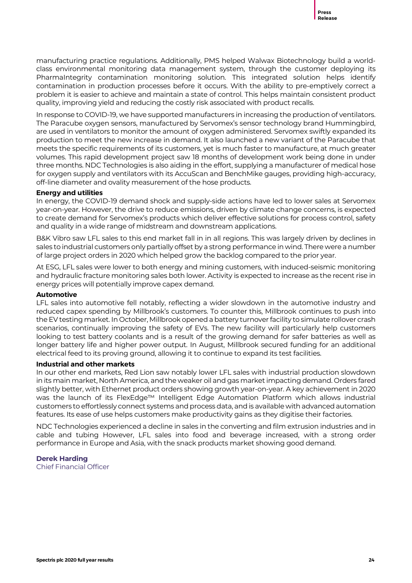manufacturing practice regulations. Additionally, PMS helped Walwax Biotechnology build a worldclass environmental monitoring data management system, through the customer deploying its PharmaIntegrity contamination monitoring solution. This integrated solution helps identify contamination in production processes before it occurs. With the ability to pre-emptively correct a problem it is easier to achieve and maintain a state of control. This helps maintain consistent product quality, improving yield and reducing the costly risk associated with product recalls.

In response to COVID-19, we have supported manufacturers in increasing the production of ventilators. The Paracube oxygen sensors, manufactured by Servomex's sensor technology brand Hummingbird, are used in ventilators to monitor the amount of oxygen administered. Servomex swiftly expanded its production to meet the new increase in demand. It also launched a new variant of the Paracube that meets the specific requirements of its customers, yet is much faster to manufacture, at much greater volumes. This rapid development project saw 18 months of development work being done in under three months. NDC Technologies is also aiding in the effort, supplying a manufacturer of medical hose for oxygen supply and ventilators with its AccuScan and BenchMike gauges, providing high-accuracy, off-line diameter and ovality measurement of the hose products.

# **Energy and utilities**

In energy, the COVID-19 demand shock and supply-side actions have led to lower sales at Servomex year-on-year. However, the drive to reduce emissions, driven by climate change concerns, is expected to create demand for Servomex's products which deliver effective solutions for process control, safety and quality in a wide range of midstream and downstream applications.

B&K Vibro saw LFL sales to this end market fall in in all regions. This was largely driven by declines in sales to industrial customers only partially offset by a strong performance in wind. There were a number of large project orders in 2020 which helped grow the backlog compared to the prior year.

At ESG, LFL sales were lower to both energy and mining customers, with induced-seismic monitoring and hydraulic fracture monitoring sales both lower. Activity is expected to increase as the recent rise in energy prices will potentially improve capex demand.

# **Automotive**

LFL sales into automotive fell notably, reflecting a wider slowdown in the automotive industry and reduced capex spending by Millbrook's customers. To counter this, Millbrook continues to push into the EVtesting market. In October, Millbrook opened a battery turnover facility to simulate rollover crash scenarios, continually improving the safety of EVs. The new facility will particularly help customers looking to test battery coolants and is a result of the growing demand for safer batteries as well as longer battery life and higher power output. In August, Millbrook secured funding for an additional electrical feed to its proving ground, allowing it to continue to expand its test facilities.

# **Industrial and other markets**

In our other end markets, Red Lion saw notably lower LFL sales with industrial production slowdown in its main market, North America, and the weaker oil and gas market impacting demand. Orders fared slightly better, with Ethernet product orders showing growth year-on-year. A key achievement in 2020 was the launch of its FlexEdge™ Intelligent Edge Automation Platform which allows industrial customers to effortlessly connect systems and process data, and is available with advanced automation features. Its ease of use helps customers make productivity gains as they digitise their factories.

NDC Technologies experienced a decline in sales in the converting and film extrusion industries and in cable and tubing However, LFL sales into food and beverage increased, with a strong order performance in Europe and Asia, with the snack products market showing good demand.

# **Derek Harding**

Chief Financial Officer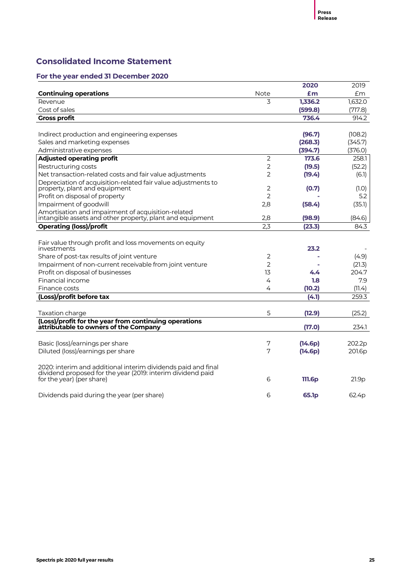# **Consolidated Income Statement**

|                                                                                                                           |                                  | 2020               | 2019               |
|---------------------------------------------------------------------------------------------------------------------------|----------------------------------|--------------------|--------------------|
| <b>Continuing operations</b>                                                                                              | Note                             | £m                 | Em                 |
| Revenue                                                                                                                   | 3                                | 1,336.2            | 1,632.0            |
| Cost of sales                                                                                                             |                                  | (599.8)            | (717.8)            |
| <b>Gross profit</b>                                                                                                       |                                  | 736.4              | 914.2              |
|                                                                                                                           |                                  |                    |                    |
| Indirect production and engineering expenses                                                                              |                                  | (96.7)             | (108.2)            |
| Sales and marketing expenses<br>Administrative expenses                                                                   |                                  | (268.3)<br>(394.7) | (345.7)<br>(376.0) |
|                                                                                                                           | $\overline{2}$                   | 173.6              | 258.1              |
| <b>Adjusted operating profit</b>                                                                                          |                                  |                    |                    |
| Restructuring costs                                                                                                       | $\overline{2}$<br>$\overline{2}$ | (19.5)             | (52.2)             |
| Net transaction-related costs and fair value adjustments<br>Depreciation of acquisition-related fair value adjustments to |                                  | (19.4)             | (6.1)              |
| property, plant and equipment                                                                                             | $\overline{2}$                   | (0.7)              | (1.0)              |
| Profit on disposal of property                                                                                            | $\overline{2}$                   |                    | 5.2                |
| Impairment of goodwill                                                                                                    | 2,8                              | (58.4)             | (35.1)             |
| Amortisation and impairment of acquisition-related                                                                        |                                  |                    |                    |
| intangible assets and other property, plant and equipment                                                                 | 2,8                              | (98.9)             | (84.6)             |
| <b>Operating (loss)/profit</b>                                                                                            | 2,3                              | (23.3)             | 84.3               |
|                                                                                                                           |                                  |                    |                    |
| Fair value through profit and loss movements on equity                                                                    |                                  |                    |                    |
| investments                                                                                                               |                                  | 23.2               |                    |
| Share of post-tax results of joint venture                                                                                | $\overline{2}$                   |                    | (4.9)              |
| Impairment of non-current receivable from joint venture                                                                   | $\overline{2}$                   |                    | (21.3)             |
| Profit on disposal of businesses                                                                                          | 13                               | 4.4                | 204.7              |
| Financial income                                                                                                          | 4                                | 1.8                | 7.9                |
| Finance costs                                                                                                             | 4                                | (10.2)             | (11.4)             |
| (Loss)/profit before tax                                                                                                  |                                  | (4.1)              | 259.3              |
| Taxation charge                                                                                                           | 5                                | (12.9)             | (25.2)             |
| (Loss)/profit for the year from continuing operations                                                                     |                                  |                    |                    |
| attributable to owners of the Company                                                                                     |                                  | (17.0)             | 234.1              |
| Basic (loss)/earnings per share                                                                                           | 7                                | (14.6p)            | 202.2p             |
| Diluted (loss)/earnings per share                                                                                         | 7                                | (14.6p)            | 201.6 <sub>p</sub> |
|                                                                                                                           |                                  |                    |                    |
| 2020: interim and additional interim dividends paid and final                                                             |                                  |                    |                    |
| dividend proposed for the year (2019: interim dividend paid                                                               | 6                                |                    |                    |
| for the year) (per share)                                                                                                 |                                  | 111.6 <sub>p</sub> | 21.9p              |
| Dividends paid during the year (per share)                                                                                | 6                                | 65.1 <sub>p</sub>  | 62.4p              |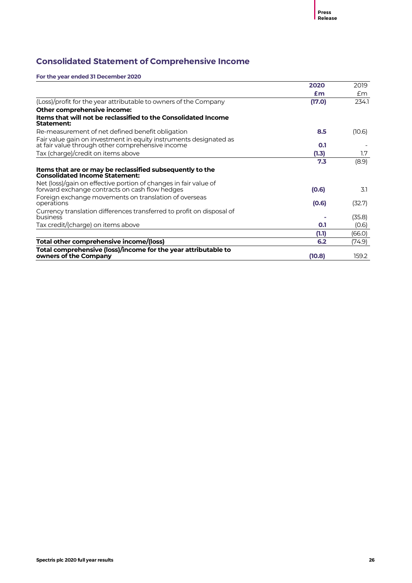# **Consolidated Statement of Comprehensive Income**

|                                                                                                                       | 2020   | 2019   |
|-----------------------------------------------------------------------------------------------------------------------|--------|--------|
|                                                                                                                       | £m     | £m     |
| (Loss)/profit for the year attributable to owners of the Company                                                      | (17.0) | 234.1  |
| Other comprehensive income:                                                                                           |        |        |
| Items that will not be reclassified to the Consolidated Income<br>Statement:                                          |        |        |
| Re-measurement of net defined benefit obligation                                                                      | 8.5    | (10.6) |
| Fair value gain on investment in equity instruments designated as<br>at fair value through other comprehensive income | 0.1    |        |
| Tax (charge)/credit on items above                                                                                    | (1.3)  | 1.7    |
|                                                                                                                       | 7.3    | (8.9)  |
| Items that are or may be reclassified subsequently to the<br><b>Consolidated Income Statement:</b>                    |        |        |
| Net (loss)/gain on effective portion of changes in fair value of<br>forward exchange contracts on cash flow hedges    | (0.6)  | 3.1    |
| Foreign exchange movements on translation of overseas<br>operations                                                   | (0.6)  | (32.7) |
| Currency translation differences transferred to profit on disposal of<br><b>business</b>                              |        | (35.8) |
| Tax credit/(charge) on items above                                                                                    | 0.1    | (0.6)  |
|                                                                                                                       | (1.1)  | (66.0) |
| Total other comprehensive income/(loss)                                                                               | 6.2    | (74.9) |
| Total comprehensive (loss)/income for the year attributable to<br>owners of the Company                               | (10.8) | 159.2  |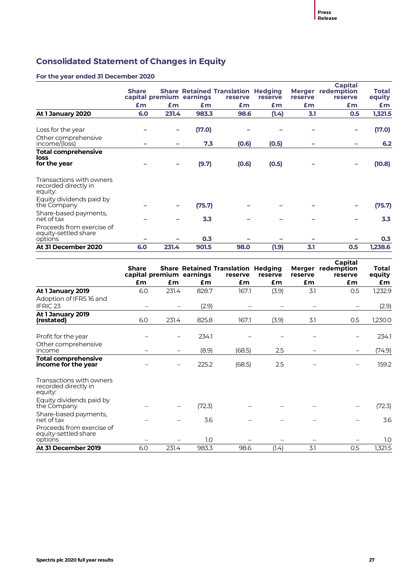# **Consolidated Statement of Changes in Equity**

|                                                              | <b>Share</b> |       |                          | <b>Share Retained Translation Hedging</b> |         |         | <b>Capital</b><br><b>Merger</b> redemption | Total   |
|--------------------------------------------------------------|--------------|-------|--------------------------|-------------------------------------------|---------|---------|--------------------------------------------|---------|
|                                                              |              |       | capital premium earnings | reserve                                   | reserve | reserve | reserve                                    | equity  |
|                                                              | £m           | Em    | £m                       | £m                                        | £m      | £m      | £m                                         | £m      |
| At 1 January 2020                                            | 6.0          | 231.4 | 983.3                    | 98.6                                      | (1.4)   | 3.1     | 0.5                                        | 1,321.5 |
| Loss for the year                                            |              |       | (17.0)                   |                                           |         |         |                                            | (17.0)  |
| Other comprehensive<br>income/(loss)                         |              |       | 7.3                      | (0.6)                                     | (0.5)   |         |                                            | 6.2     |
| <b>Total comprehensive</b><br>loss<br>for the year           |              |       | (9.7)                    | (0.6)                                     | (0.5)   |         |                                            | (10.8)  |
| Transactions with owners<br>recorded directly in<br>equity:  |              |       |                          |                                           |         |         |                                            |         |
| Equity dividends paid by<br>the Company                      |              |       | (75.7)                   |                                           |         |         |                                            | (75.7)  |
| Share-based payments,<br>net of tax                          |              |       | 3.3                      |                                           |         |         |                                            | 3.3     |
| Proceeds from exercise of<br>equity-settled share<br>options |              |       | 0.3                      |                                           |         |         |                                            | 0.3     |
| At 31 December 2020                                          | 6.0          | 231.4 | 901.5                    | 98.0                                      | (1.9)   | 3.1     | 0.5                                        | 1,238.6 |

|                                                              | <b>Share</b> |       | capital premium earnings | <b>Share Retained Translation Hedging</b><br>reserve | reserve | reserve | Capital<br>Merger redemption<br>reserve | Total<br>equity |
|--------------------------------------------------------------|--------------|-------|--------------------------|------------------------------------------------------|---------|---------|-----------------------------------------|-----------------|
|                                                              | £m           | £m    | £m                       | £m                                                   | £m      | £m      | £m                                      | £m              |
| At 1 January 2019                                            | 6.0          | 231.4 | 828.7                    | 167.1                                                | (3.9)   | 3.1     | 0.5                                     | 1,232.9         |
| Adoption of IFRS 16 and<br>IFRIC <sub>23</sub>               |              |       | (2.9)                    |                                                      |         |         |                                         | (2.9)           |
| At 1 January 2019<br>(restated)                              | 6.0          | 231.4 | 825.8                    | 167.1                                                | (3.9)   | 3.1     | 0.5                                     | 1,230.0         |
| Profit for the year                                          |              |       | 234.1                    |                                                      |         |         |                                         | 234.1           |
| Other comprehensive<br>income                                |              |       | (8.9)                    | (68.5)                                               | 2.5     |         |                                         | (74.9)          |
| <b>Total comprehensive</b><br>income for the year            |              |       | 225.2                    | (68.5)                                               | 2.5     |         |                                         | 159.2           |
| Transactions with owners<br>recorded directly in<br>equity:  |              |       |                          |                                                      |         |         |                                         |                 |
| Equity dividends paid by<br>the Company                      |              |       | (72.3)                   |                                                      |         |         |                                         | (72.3)          |
| Share-based payments,<br>net of tax                          |              |       | 3.6                      |                                                      |         |         |                                         | 3.6             |
| Proceeds from exercise of<br>equity-settled share<br>options |              |       | 1.0                      |                                                      |         |         |                                         | 1.0             |
| At 31 December 2019                                          | 6.0          | 231.4 | 983.3                    | 98.6                                                 | (1.4)   | 3.1     | 0.5                                     | 1,321.5         |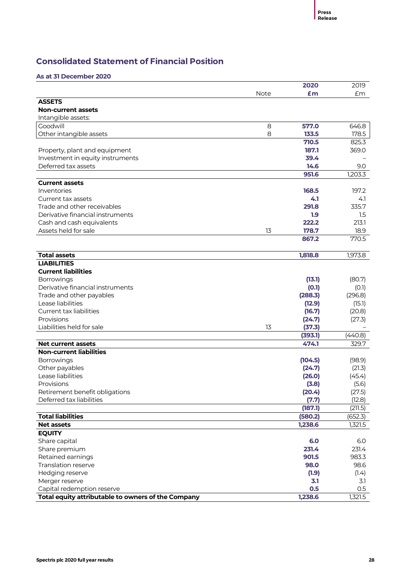# **Consolidated Statement of Financial Position**

### **As at 31 December 2020**

|                                                    |      | 2020    | 2019    |
|----------------------------------------------------|------|---------|---------|
|                                                    | Note | £m      | £m      |
| <b>ASSETS</b>                                      |      |         |         |
| <b>Non-current assets</b>                          |      |         |         |
| Intangible assets:                                 |      |         |         |
| Goodwill                                           | 8    | 577.0   | 646.8   |
| Other intangible assets                            | 8    | 133.5   | 178.5   |
|                                                    |      | 710.5   | 825.3   |
| Property, plant and equipment                      |      | 187.1   | 369.0   |
| Investment in equity instruments                   |      | 39.4    |         |
| Deferred tax assets                                |      | 14.6    | 9.0     |
|                                                    |      | 951.6   | 1,203.3 |
| <b>Current assets</b>                              |      |         |         |
| Inventories                                        |      | 168.5   | 197.2   |
| Current tax assets                                 |      | 4.1     | 4.1     |
| Trade and other receivables                        |      | 291.8   | 335.7   |
| Derivative financial instruments                   |      | 1.9     | 1.5     |
| Cash and cash equivalents                          |      | 222.2   | 213.1   |
| Assets held for sale                               | 13   | 178.7   | 18.9    |
|                                                    |      | 867.2   | 770.5   |
|                                                    |      |         |         |
| <b>Total assets</b>                                |      | 1,818.8 | 1,973.8 |
| <b>LIABILITIES</b>                                 |      |         |         |
| <b>Current liabilities</b>                         |      |         |         |
| Borrowings                                         |      | (13.1)  | (80.7)  |
| Derivative financial instruments                   |      | (0.1)   | (O.1)   |
| Trade and other payables                           |      | (288.3) | (296.8) |
| Lease liabilities                                  |      | (12.9)  | (15.1)  |
| Current tax liabilities                            |      | (16.7)  | (20.8)  |
| Provisions                                         |      | (24.7)  | (27.3)  |
| Liabilities held for sale                          | 13   | (37.3)  |         |
|                                                    |      | (393.1) | (440.8) |
| <b>Net current assets</b>                          |      | 474.1   | 329.7   |
| <b>Non-current liabilities</b>                     |      |         |         |
| Borrowings                                         |      | (104.5) | (98.9)  |
| Other payables                                     |      | (24.7)  | (21.3)  |
| Lease liabilities                                  |      | (26.0)  | (45.4)  |
| Provisions                                         |      | (3.8)   | (5.6)   |
| Retirement benefit obligations                     |      | (20.4)  | (27.5)  |
| Deferred tax liabilities                           |      | (7.7)   | (12.8)  |
|                                                    |      | (187.1) | (211.5) |
| <b>Total liabilities</b>                           |      | (580.2) | (652.3) |
| <b>Net assets</b>                                  |      | 1,238.6 | 1,321.5 |
| <b>EQUITY</b>                                      |      |         |         |
| Share capital                                      |      | 6.0     | 6.0     |
| Share premium                                      |      | 231.4   | 231.4   |
| Retained earnings                                  |      | 901.5   | 983.3   |
| Translation reserve                                |      | 98.0    | 98.6    |
| Hedging reserve                                    |      | (1.9)   | (1.4)   |
| Merger reserve                                     |      | 3.1     | 3.1     |
| Capital redemption reserve                         |      | 0.5     | 0.5     |
| Total equity attributable to owners of the Company |      | 1,238.6 | 1,321.5 |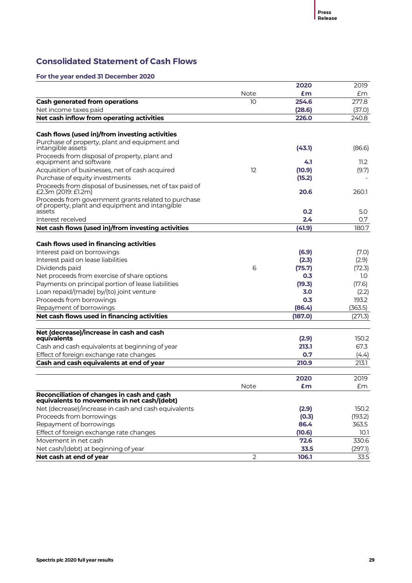# **Consolidated Statement of Cash Flows**

|                                                                                                     |                | 2020           | 2019    |
|-----------------------------------------------------------------------------------------------------|----------------|----------------|---------|
|                                                                                                     | Note           | £m             | £m      |
| <b>Cash generated from operations</b>                                                               | 10             | 254.6          | 277.8   |
| Net income taxes paid                                                                               |                | (28.6)         | (37.0)  |
| Net cash inflow from operating activities                                                           |                | 226.0          | 240.8   |
| Cash flows (used in)/from investing activities                                                      |                |                |         |
| Purchase of property, plant and equipment and                                                       |                |                |         |
| intangible assets                                                                                   |                | (43.1)         | (86.6)  |
| Proceeds from disposal of property, plant and<br>equipment and software                             |                | 4.1            | 11.2    |
| Acquisition of businesses, net of cash acquired                                                     | 12             | (10.9)         | (9.7)   |
| Purchase of equity investments                                                                      |                | (15.2)         |         |
| Proceeds from disposal of businesses, net of tax paid of                                            |                |                |         |
| £2.3m (2019: £1.2m)                                                                                 |                | 20.6           | 260.1   |
| Proceeds from government grants related to purchase                                                 |                |                |         |
| of property, plant and equipment and intangible<br>assets                                           |                | 0.2            | 5.0     |
| Interest received                                                                                   |                | 2.4            | 0.7     |
| Net cash flows (used in)/from investing activities                                                  |                | (41.9)         | 180.7   |
|                                                                                                     |                |                |         |
| Cash flows used in financing activities                                                             |                |                |         |
| Interest paid on borrowings                                                                         |                | (6.9)          | (7.0)   |
| Interest paid on lease liabilities                                                                  |                | (2.3)          | (2.9)   |
| Dividends paid                                                                                      | 6              | (75.7)         | (72.3)  |
| Net proceeds from exercise of share options                                                         |                | 0.3            | 1.0     |
| Payments on principal portion of lease liabilities                                                  |                | (19.3)         | (17.6)  |
| Loan repaid/(made) by/(to) joint venture                                                            |                | 3.0            | (2.2)   |
| Proceeds from borrowings                                                                            |                | 0.3            | 193.2   |
| Repayment of borrowings                                                                             |                | (86.4)         | (363.5) |
| Net cash flows used in financing activities                                                         |                | (187.0)        | (271.3) |
|                                                                                                     |                |                |         |
| Net (decrease)/increase in cash and cash<br>equivalents                                             |                | (2.9)          | 150.2   |
| Cash and cash equivalents at beginning of year                                                      |                | 213.1          | 67.3    |
| Effect of foreign exchange rate changes                                                             |                | 0.7            | (4.4)   |
| Cash and cash equivalents at end of year                                                            |                | 210.9          | 213.1   |
|                                                                                                     |                | 2020           | 2019    |
|                                                                                                     | Note           | £m             | Em      |
| Reconciliation of changes in cash and cash                                                          |                |                |         |
| equivalents to movements in net cash/(debt)<br>Net (decrease)/increase in cash and cash equivalents |                |                | 150.2   |
| Proceeds from borrowings                                                                            |                | (2.9)<br>(0.3) | (193.2) |
| Repayment of borrowings                                                                             |                | 86.4           | 363.5   |
| Effect of foreign exchange rate changes                                                             |                | (10.6)         | 10.1    |
| Movement in net cash                                                                                |                | 72.6           | 330.6   |
| Net cash/(debt) at beginning of year                                                                |                | 33.5           | (297.1) |
| Net cash at end of year                                                                             | $\overline{2}$ | 106.1          | 33.5    |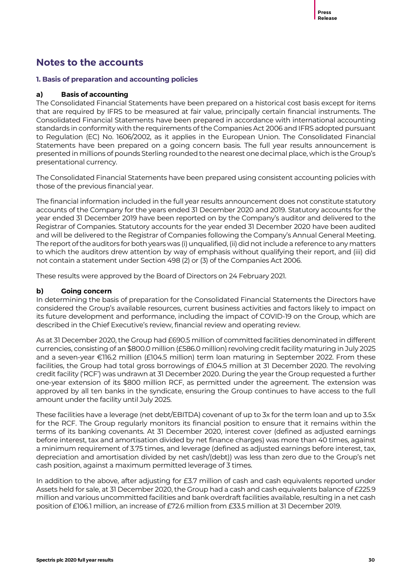# **Notes to the accounts**

# **1. Basis of preparation and accounting policies**

# **a) Basis of accounting**

The Consolidated Financial Statements have been prepared on a historical cost basis except for items that are required by IFRS to be measured at fair value, principally certain financial instruments. The Consolidated Financial Statements have been prepared in accordance with international accounting standards in conformity with the requirements of the Companies Act 2006 and IFRS adopted pursuant to Regulation (EC) No. 1606/2002, as it applies in the European Union. The Consolidated Financial Statements have been prepared on a going concern basis. The full year results announcement is presented in millions of pounds Sterling rounded to the nearest one decimal place, which is the Group's presentational currency.

The Consolidated Financial Statements have been prepared using consistent accounting policies with those of the previous financial year.

The financial information included in the full year results announcement does not constitute statutory accounts of the Company for the years ended 31 December 2020 and 2019. Statutory accounts for the year ended 31 December 2019 have been reported on by the Company's auditor and delivered to the Registrar of Companies. Statutory accounts for the year ended 31 December 2020 have been audited and will be delivered to the Registrar of Companies following the Company's Annual General Meeting. The report of the auditors for both years was (i) unqualified, (ii) did not include a reference to any matters to which the auditors drew attention by way of emphasis without qualifying their report, and (iii) did not contain a statement under Section 498 (2) or (3) of the Companies Act 2006.

These results were approved by the Board of Directors on 24 February 2021.

# **b) Going concern**

In determining the basis of preparation for the Consolidated Financial Statements the Directors have considered the Group's available resources, current business activities and factors likely to impact on its future development and performance, including the impact of COVID-19 on the Group, which are described in the Chief Executive's review, financial review and operating review.

As at 31 December 2020, the Group had £690.5 million of committed facilities denominated in different currencies, consisting of an \$800.0 million (£586.0 million) revolving credit facility maturing in July 2025 and a seven-year €116.2 million (£104.5 million) term loan maturing in September 2022. From these facilities, the Group had total gross borrowings of £104.5 million at 31 December 2020. The revolving credit facility ('RCF') was undrawn at 31 December 2020. During the year the Group requested a further one-year extension of its \$800 million RCF, as permitted under the agreement. The extension was approved by all ten banks in the syndicate, ensuring the Group continues to have access to the full amount under the facility until July 2025.

These facilities have a leverage (net debt/EBITDA) covenant of up to 3x for the term loan and up to 3.5x for the RCF. The Group regularly monitors its financial position to ensure that it remains within the terms of its banking covenants. At 31 December 2020, interest cover (defined as adjusted earnings before interest, tax and amortisation divided by net finance charges) was more than 40 times, against a minimum requirement of 3.75 times, and leverage (defined as adjusted earnings before interest, tax, depreciation and amortisation divided by net cash/(debt)) was less than zero due to the Group's net cash position, against a maximum permitted leverage of 3 times.

In addition to the above, after adjusting for £3.7 million of cash and cash equivalents reported under Assets held for sale, at 31 December 2020, the Group had a cash and cash equivalents balance of £225.9 million and various uncommitted facilities and bank overdraft facilities available, resulting in a net cash position of £106.1 million, an increase of £72.6 million from £33.5 million at 31 December 2019.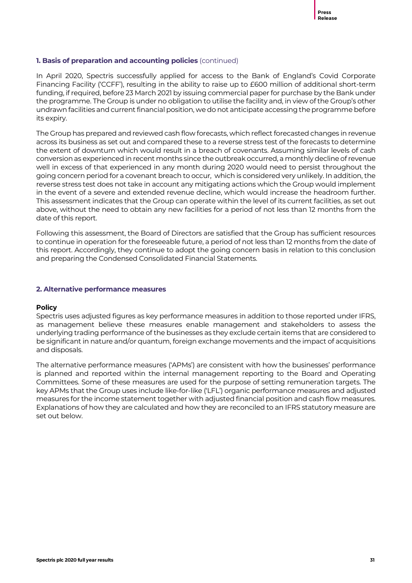# **1. Basis of preparation and accounting policies** (continued)

In April 2020, Spectris successfully applied for access to the Bank of England's Covid Corporate Financing Facility ('CCFF'), resulting in the ability to raise up to £600 million of additional short-term funding, if required, before 23 March 2021 by issuing commercial paper for purchase by the Bank under the programme. The Group is under no obligation to utilise the facility and, in view of the Group's other undrawn facilities and current financial position, we do not anticipate accessing the programme before its expiry.

The Group has prepared and reviewed cash flow forecasts, which reflect forecasted changes in revenue across its business as set out and compared these to a reverse stress test of the forecasts to determine the extent of downturn which would result in a breach of covenants. Assuming similar levels of cash conversion as experienced in recent months since the outbreak occurred, a monthly decline of revenue well in excess of that experienced in any month during 2020 would need to persist throughout the going concern period for a covenant breach to occur, which is considered very unlikely. In addition, the reverse stress test does not take in account any mitigating actions which the Group would implement in the event of a severe and extended revenue decline, which would increase the headroom further. This assessment indicates that the Group can operate within the level of its current facilities, as set out above, without the need to obtain any new facilities for a period of not less than 12 months from the date of this report.

Following this assessment, the Board of Directors are satisfied that the Group has sufficient resources to continue in operation for the foreseeable future, a period of not less than 12 months from the date of this report. Accordingly, they continue to adopt the going concern basis in relation to this conclusion and preparing the Condensed Consolidated Financial Statements.

### **2. Alternative performance measures**

### **Policy**

Spectris uses adjusted figures as key performance measures in addition to those reported under IFRS, as management believe these measures enable management and stakeholders to assess the underlying trading performance of the businesses as they exclude certain items that are considered to be significant in nature and/or quantum, foreign exchange movements and the impact of acquisitions and disposals.

The alternative performance measures ('APMs') are consistent with how the businesses' performance is planned and reported within the internal management reporting to the Board and Operating Committees. Some of these measures are used for the purpose of setting remuneration targets. The key APMs that the Group uses include like-for-like ('LFL') organic performance measures and adjusted measures for the income statement together with adjusted financial position and cash flow measures. Explanations of how they are calculated and how they are reconciled to an IFRS statutory measure are set out below.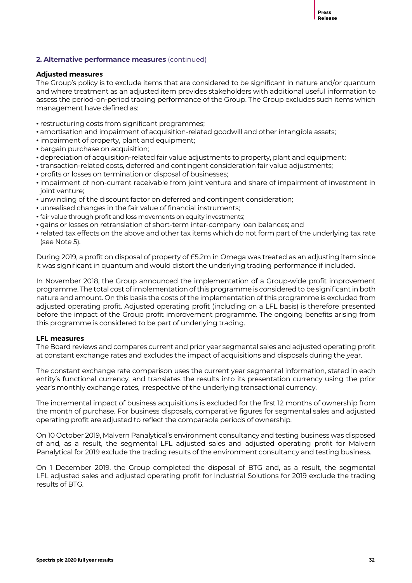### **Adjusted measures**

The Group's policy is to exclude items that are considered to be significant in nature and/or quantum and where treatment as an adjusted item provides stakeholders with additional useful information to assess the period-on-period trading performance of the Group. The Group excludes such items which management have defined as:

- restructuring costs from significant programmes;
- amortisation and impairment of acquisition-related goodwill and other intangible assets;
- impairment of property, plant and equipment;
- bargain purchase on acquisition;
- depreciation of acquisition-related fair value adjustments to property, plant and equipment;
- transaction-related costs, deferred and contingent consideration fair value adjustments;
- profits or losses on termination or disposal of businesses;
- impairment of non-current receivable from joint venture and share of impairment of investment in joint venture;
- unwinding of the discount factor on deferred and contingent consideration;
- unrealised changes in the fair value of financial instruments;
- fair value through profit and loss movements on equity investments;
- gains or losses on retranslation of short-term inter-company loan balances; and
- related tax effects on the above and other tax items which do not form part of the underlying tax rate (see Note 5).

During 2019, a profit on disposal of property of £5.2m in Omega was treated as an adjusting item since it was significant in quantum and would distort the underlying trading performance if included.

In November 2018, the Group announced the implementation of a Group-wide profit improvement programme. The total cost of implementation of this programme is considered to be significant in both nature and amount. On this basis the costs of the implementation of this programme is excluded from adjusted operating profit. Adjusted operating profit (including on a LFL basis) is therefore presented before the impact of the Group profit improvement programme. The ongoing benefits arising from this programme is considered to be part of underlying trading.

# **LFL measures**

The Board reviews and compares current and prior year segmental sales and adjusted operating profit at constant exchange rates and excludes the impact of acquisitions and disposals during the year.

The constant exchange rate comparison uses the current year segmental information, stated in each entity's functional currency, and translates the results into its presentation currency using the prior year's monthly exchange rates, irrespective of the underlying transactional currency.

The incremental impact of business acquisitions is excluded for the first 12 months of ownership from the month of purchase. For business disposals, comparative figures for segmental sales and adjusted operating profit are adjusted to reflect the comparable periods of ownership.

On 10 October 2019, Malvern Panalytical's environment consultancy and testing business was disposed of and, as a result, the segmental LFL adjusted sales and adjusted operating profit for Malvern Panalytical for 2019 exclude the trading results of the environment consultancy and testing business.

On 1 December 2019, the Group completed the disposal of BTG and, as a result, the segmental LFL adjusted sales and adjusted operating profit for Industrial Solutions for 2019 exclude the trading results of BTG.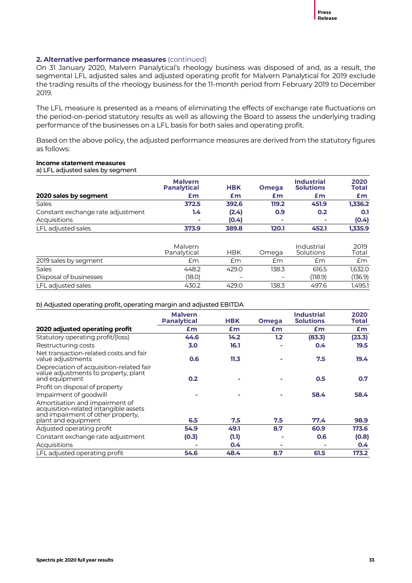On 31 January 2020, Malvern Panalytical's rheology business was disposed of and, as a result, the segmental LFL adjusted sales and adjusted operating profit for Malvern Panalytical for 2019 exclude the trading results of the rheology business for the 11-month period from February 2019 to December 2019.

The LFL measure is presented as a means of eliminating the effects of exchange rate fluctuations on the period-on-period statutory results as well as allowing the Board to assess the underlying trading performance of the businesses on a LFL basis for both sales and operating profit.

Based on the above policy, the adjusted performance measures are derived from the statutory figures as follows:

# **Income statement measures**

a) LFL adjusted sales by segment

|                                   | <b>Malvern</b><br><b>Panalytical</b> | <b>HBK</b> | <b>Omega</b> | <b>Industrial</b><br><b>Solutions</b> | 2020<br><b>Total</b> |
|-----------------------------------|--------------------------------------|------------|--------------|---------------------------------------|----------------------|
| 2020 sales by segment             | £m                                   | £m         | £m           | £m                                    | £m                   |
| <b>Sales</b>                      | 372.5                                | 392.6      | 119.2        | 451.9                                 | 1.336.2              |
| Constant exchange rate adjustment | 1.4                                  | (2.4)      | 0.9          | 0.2                                   | 0.1                  |
| <b>Acquisitions</b>               | ×                                    | (0.4)      | -            | $\mathbf{r}$                          | (0.4)                |
| LFL adjusted sales                | 373.9                                | 389.8      | 120.1        | 452.1                                 | 1,335.9              |

|                        | Malvern<br>Panalytical | <b>HBK</b>               | Omega | Industrial<br><b>Solutions</b> | 2019<br>Total |
|------------------------|------------------------|--------------------------|-------|--------------------------------|---------------|
| 2019 sales by segment  | £m                     | £m                       | £m    | £m                             | £m            |
| <b>Sales</b>           | 448.2                  | 429.0                    | 138.3 | 616.5                          | 1.632.0       |
| Disposal of businesses | (18.0)                 | $\overline{\phantom{m}}$ | -     | (118.9)                        | (136.9)       |
| LFL adjusted sales     | 430.2                  | 429.0                    | 138.3 | 497.6                          | 1.495.1       |

b) Adjusted operating profit, operating margin and adjusted EBITDA

|                                                                                                                                     | <b>Malvern</b><br><b>Panalytical</b> | <b>HBK</b> | <b>Omega</b>   | <b>Industrial</b><br><b>Solutions</b> | 2020<br>Total |
|-------------------------------------------------------------------------------------------------------------------------------------|--------------------------------------|------------|----------------|---------------------------------------|---------------|
| 2020 adjusted operating profit                                                                                                      | £m                                   | £m         | £m             | £m                                    | £m            |
| Statutory operating profit/(loss)                                                                                                   | 44.6                                 | 14.2       | 1.2            | (83.3)                                | (23.3)        |
| Restructuring costs                                                                                                                 | 3.0                                  | 16.1       |                | 0.4                                   | 19.5          |
| Net transaction-related costs and fair<br>value adjustments                                                                         | 0.6                                  | 11.3       |                | 7.5                                   | 19.4          |
| Depreciation of acquisition-related fair<br>value adjustments to property, plant<br>and equipment                                   | 0.2                                  |            |                | 0.5                                   | 0.7           |
| Profit on disposal of property                                                                                                      |                                      |            |                |                                       |               |
| Impairment of goodwill                                                                                                              |                                      |            |                | 58.4                                  | 58.4          |
| Amortisation and impairment of<br>acquisition-related intangible assets<br>and impairment of other property.<br>plant and equipment | 6.5                                  | 7.5        | 7.5            | 77.4                                  | 98.9          |
| Adjusted operating profit                                                                                                           | 54.9                                 | 49.1       | 8.7            | 60.9                                  | 173.6         |
| Constant exchange rate adjustment                                                                                                   | (0.3)                                | (1.1)      | $\blacksquare$ | 0.6                                   | (0.8)         |
| Acquisitions                                                                                                                        |                                      | 0.4        |                |                                       | $0.4^{\circ}$ |
| LFL adjusted operating profit                                                                                                       | 54.6                                 | 48.4       | 8.7            | 61.5                                  | 173.2         |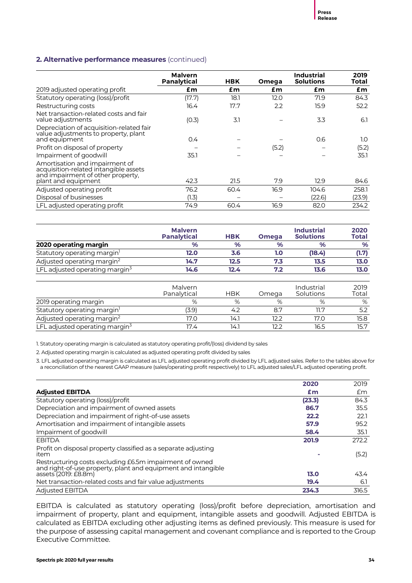|                                                                                                              | <b>Malvern</b><br>Panalytical | HBK  | Omega | Industrial<br><b>Solutions</b> | 2019<br>Total |
|--------------------------------------------------------------------------------------------------------------|-------------------------------|------|-------|--------------------------------|---------------|
| 2019 adjusted operating profit                                                                               | £m                            | £m   | £m    | £m                             | £m            |
| Statutory operating (loss)/profit                                                                            | (17.7)                        | 18.1 | 12.0  | 71.9                           | 84.3          |
| Restructuring costs                                                                                          | 16.4                          | 17.7 | 2.2   | 15.9                           | 52.2          |
| Net transaction-related costs and fair<br>value adjustments                                                  | (O.3)                         | 3.1  |       | 3.3                            | 6.1           |
| Depreciation of acquisition-related fair<br>value adjustments to property, plant<br>and equipment            | 0.4                           |      |       | 0.6                            | 1.0           |
| Profit on disposal of property                                                                               |                               |      | (5.2) |                                | (5.2)         |
| Impairment of goodwill                                                                                       | 35.1                          |      |       |                                | 35.1          |
| Amortisation and impairment of<br>acquisition-related intangible assets<br>and impairment of other property, |                               |      |       |                                |               |
| plant and equipment                                                                                          | 42.3                          | 21.5 | 7.9   | 12.9                           | 84.6          |
| Adjusted operating profit                                                                                    | 76.2                          | 60.4 | 16.9  | 104.6                          | 258.1         |
| Disposal of businesses                                                                                       | (1.3)                         |      |       | (22.6)                         | (23.9)        |
| LFL adjusted operating profit                                                                                | 74.9                          | 60.4 | 16.9  | 82.0                           | 234.2         |

|                                            | <b>Malvern</b><br><b>Panalytical</b> | <b>HBK</b> | <b>Omega</b>  | <b>Industrial</b><br><b>Solutions</b> | 2020<br><b>Total</b> |
|--------------------------------------------|--------------------------------------|------------|---------------|---------------------------------------|----------------------|
| 2020 operating margin                      | $\%$                                 | $\%$       | $\frac{9}{6}$ | %                                     | $\%$                 |
| Statutory operating margin <sup>1</sup>    | 12.0                                 | 3.6        | 1.0           | (18.4)                                | (1.7)                |
| Adjusted operating margin <sup>2</sup>     | 14.7                                 | 12.5       | 7.3           | 13.5                                  | 13.0                 |
| LFL adjusted operating margin <sup>5</sup> | 14.6                                 | 12.4       | 7.2           | 13.6                                  | 13.0                 |

|                                            | Malvern<br>Panalytical | <b>HBK</b> | Omega | Industrial<br>Solutions | 2019<br>Total |
|--------------------------------------------|------------------------|------------|-------|-------------------------|---------------|
| 2019 operating margin                      | %                      | %          | %     | %                       | %             |
| Statutory operating margin <sup>1</sup>    | 3.9)                   | 4.2        | 8.7   |                         |               |
| Adjusted operating margin <sup>2</sup>     | 17.0                   | 14.1       | 12.2  | 17.O                    | 15.8          |
| LFL adjusted operating margin <sup>3</sup> | 17.4                   | 14.1       | 12.2  | 16.5                    | 15.7          |

1. Statutory operating margin is calculated as statutory operating profit/(loss) dividend by sales

2. Adjusted operating margin is calculated as adjusted operating profit divided by sales

3. LFL adjusted operating margin is calculated as LFL adjusted operating profit divided by LFL adjusted sales. Refer to the tables above for a reconciliation of the nearest GAAP measure (sales/operating profit respectively) to LFL adjusted sales/LFL adjusted operating profit.

|                                                                                                                          | 2020   | 2019  |
|--------------------------------------------------------------------------------------------------------------------------|--------|-------|
| <b>Adjusted EBITDA</b>                                                                                                   | Em     | £m    |
| Statutory operating (loss)/profit                                                                                        | (23.3) | 84.3  |
| Depreciation and impairment of owned assets                                                                              | 86.7   | 35.5  |
| Depreciation and impairment of right-of-use assets                                                                       | 22.2   | 22.1  |
| Amortisation and impairment of intangible assets                                                                         | 57.9   | 95.2  |
| Impairment of goodwill                                                                                                   | 58.4   | 35.1  |
| <b>EBITDA</b>                                                                                                            | 201.9  | 272.2 |
| Profit on disposal property classified as a separate adjusting<br>item                                                   |        | (5.2) |
| Restructuring costs excluding £6.5m impairment of owned<br>and right-of-use property, plant and equipment and intangible |        |       |
| assets (2019: £8.8m)                                                                                                     | 13.0   | 43.4  |
| Net transaction-related costs and fair value adjustments                                                                 | 19.4   | 6.1   |
| <b>Adjusted EBITDA</b>                                                                                                   | 234.3  | 316.5 |

EBITDA is calculated as statutory operating (loss)/profit before depreciation, amortisation and impairment of property, plant and equipment, intangible assets and goodwill. Adjusted EBITDA is calculated as EBITDA excluding other adjusting items as defined previously. This measure is used for the purpose of assessing capital management and covenant compliance and is reported to the Group Executive Committee.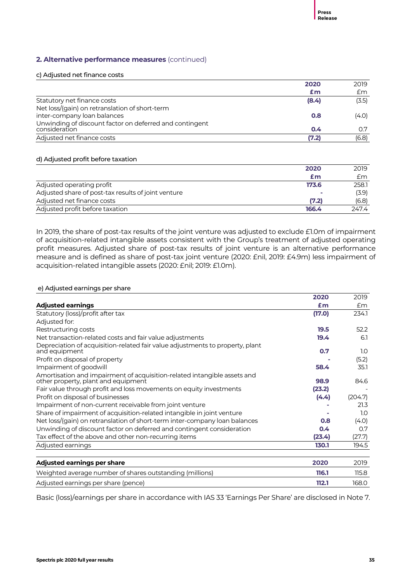### c) Adjusted net finance costs

| 2020  | 2019  |
|-------|-------|
| £m    | £m    |
| (8.4) | (3.5) |
|       |       |
| 0.8   | (4.0) |
|       |       |
|       | 0.7   |
| (7.2) | (6.8) |
|       | 0.4   |

# d) Adjusted profit before taxation

|                                                     | 2020  | 2019  |
|-----------------------------------------------------|-------|-------|
|                                                     | £m    | £m    |
| Adjusted operating profit                           | 173.6 | 258.1 |
| Adjusted share of post-tax results of joint venture |       | (3.9) |
| Adjusted net finance costs                          | (7.2) | (6.8) |
| Adjusted profit before taxation                     | 166.4 | 247.4 |

In 2019, the share of post-tax results of the joint venture was adjusted to exclude £1.0m of impairment of acquisition-related intangible assets consistent with the Group's treatment of adjusted operating profit measures. Adjusted share of post-tax results of joint venture is an alternative performance measure and is defined as share of post-tax joint venture (2020: £nil, 2019: £4.9m) less impairment of acquisition-related intangible assets (2020: £nil; 2019: £1.0m).

### e) Adjusted earnings per share

|                                                                                                                 | 2020   | 2019    |
|-----------------------------------------------------------------------------------------------------------------|--------|---------|
| <b>Adjusted earnings</b>                                                                                        | Em     | £m      |
| Statutory (loss)/profit after tax                                                                               | (17.0) | 234.1   |
| Adjusted for:                                                                                                   |        |         |
| Restructuring costs                                                                                             | 19.5   | 52.2    |
| Net transaction-related costs and fair value adjustments                                                        | 19.4   | 6.1     |
| Depreciation of acquisition-related fair value adjustments to property, plant<br>and equipment                  | 0.7    | 1.0     |
| Profit on disposal of property                                                                                  |        | (5.2)   |
| Impairment of goodwill                                                                                          | 58.4   | 35.1    |
| Amortisation and impairment of acquisition-related intangible assets and<br>other property, plant and equipment | 98.9   | 84.6    |
| Fair value through profit and loss movements on equity investments                                              | (23.2) |         |
| Profit on disposal of businesses                                                                                | (4.4)  | (204.7) |
| Impairment of non-current receivable from joint venture                                                         |        | 21.3    |
| Share of impairment of acquisition-related intangible in joint venture                                          |        | 1.0     |
| Net loss/(gain) on retranslation of short-term inter-company loan balances                                      | 0.8    | (4.0)   |
| Unwinding of discount factor on deferred and contingent consideration                                           | 0.4    | O.7     |
| Tax effect of the above and other non-recurring items                                                           | (23.4) | (27.7)  |
| Adjusted earnings                                                                                               | 130.1  | 194.5   |
| Adjusted earnings per share                                                                                     | 2020   | 2019    |
| Weighted average number of shares outstanding (millions)                                                        | 116.1  | 115.8   |
| Adjusted earnings per share (pence)                                                                             | 112.1  | 168.0   |

Basic (loss)/earnings per share in accordance with IAS 33 'Earnings Per Share' are disclosed in Note 7.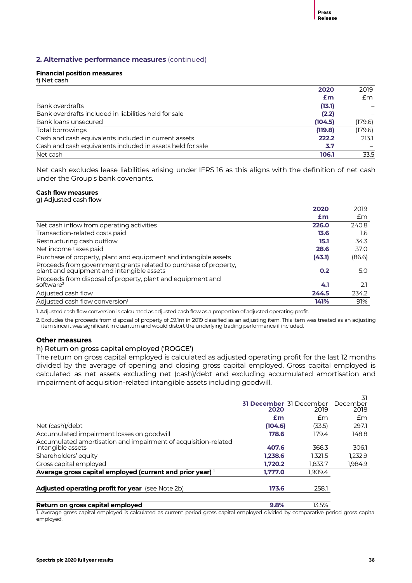### **Financial position measures**

f) Net cash

|                                                            | 2020    | 2019    |
|------------------------------------------------------------|---------|---------|
|                                                            | £m      | £m      |
| Bank overdrafts                                            | (13.1)  |         |
| Bank overdrafts included in liabilities held for sale      | (2.2)   |         |
| Bank loans unsecured                                       | (104.5) | (179.6) |
| Total borrowings                                           | (119.8) | (179.6) |
| Cash and cash equivalents included in current assets       | 222.2   | 213.1   |
| Cash and cash equivalents included in assets held for sale | 3.7     |         |
| Net cash                                                   | 106.1   | 33.5    |
|                                                            |         |         |

Net cash excludes lease liabilities arising under IFRS 16 as this aligns with the definition of net cash under the Group's bank covenants.

### **Cash flow measures** g) Adjusted cash flow

| ້                                                                                                             |        |        |
|---------------------------------------------------------------------------------------------------------------|--------|--------|
|                                                                                                               | 2020   | 2019   |
|                                                                                                               | £m     | £m     |
| Net cash inflow from operating activities                                                                     | 226.0  | 240.8  |
| Transaction-related costs paid                                                                                | 13.6   | 1.6    |
| Restructuring cash outflow                                                                                    | 15.1   | 34.3   |
| Net income taxes paid                                                                                         | 28.6   | 37.0   |
| Purchase of property, plant and equipment and intangible assets                                               | (43.1) | (86.6) |
| Proceeds from government grants related to purchase of property,<br>plant and equipment and intangible assets | 0.2    | 5.0    |
| Proceeds from disposal of property, plant and equipment and<br>software <sup>2</sup>                          | 4.1    | 2.1    |
| Adjusted cash flow                                                                                            | 244.5  | 234.2  |
| Adjusted cash flow conversion <sup>1</sup>                                                                    | 141%   | 91%    |
|                                                                                                               |        |        |

1. Adjusted cash flow conversion is calculated as adjusted cash flow as a proportion of adjusted operating profit.

2. Excludes the proceeds from disposal of property of £9.1m in 2019 classified as an adjusting item. This item was treated as an adjusting item since it was significant in quantum and would distort the underlying trading performance if included.

# **Other measures**

# h) Return on gross capital employed ('ROGCE')

The return on gross capital employed is calculated as adjusted operating profit for the last 12 months divided by the average of opening and closing gross capital employed. Gross capital employed is calculated as net assets excluding net (cash)/debt and excluding accumulated amortisation and impairment of acquisition-related intangible assets including goodwill.

|                                                                |         |                                | .31      |
|----------------------------------------------------------------|---------|--------------------------------|----------|
|                                                                |         | <b>31 December</b> 31 December | December |
|                                                                | 2020    | 2019                           | 2018     |
|                                                                | £m      | £m                             | £m       |
| Net (cash)/debt                                                | (104.6) | (33.5)                         | 297.1    |
| Accumulated impairment losses on goodwill                      | 178.6   | 179.4                          | 148.8    |
| Accumulated amortisation and impairment of acquisition-related |         |                                |          |
| intangible assets                                              | 407.6   | 366.3                          | 306.1    |
| Shareholders' equity                                           | 1.238.6 | 1,321.5                        | 1,232.9  |
| Gross capital employed                                         | 1.720.2 | 1.833.7                        | 1.984.9  |
| Average gross capital employed (current and prior year)        | 1,777.0 | 1,909.4                        |          |
| Adjusted operating profit for year (see Note 2b)               | 173.6   | 258.1                          |          |
|                                                                |         |                                |          |
| Return on gross capital employed                               | 9.8%    | 13.5%                          |          |

1. Average gross capital employed is calculated as current period gross capital employed divided by comparative period gross capital employed.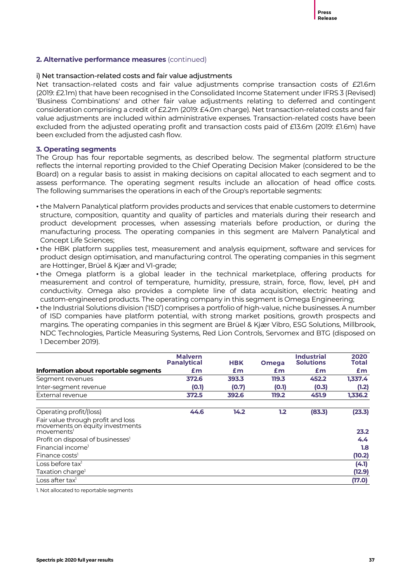# i) Net transaction-related costs and fair value adjustments

Net transaction-related costs and fair value adjustments comprise transaction costs of £21.6m (2019: £2.1m) that have been recognised in the Consolidated Income Statement under IFRS 3 (Revised) 'Business Combinations' and other fair value adjustments relating to deferred and contingent consideration comprising a credit of £2.2m (2019: £4.0m charge). Net transaction-related costs and fair value adjustments are included within administrative expenses. Transaction-related costs have been excluded from the adjusted operating profit and transaction costs paid of £13.6m (2019: £1.6m) have been excluded from the adjusted cash flow.

### **3. Operating segments**

The Group has four reportable segments, as described below. The segmental platform structure reflects the internal reporting provided to the Chief Operating Decision Maker (considered to be the Board) on a regular basis to assist in making decisions on capital allocated to each segment and to assess performance. The operating segment results include an allocation of head office costs. The following summarises the operations in each of the Group's reportable segments:

- the Malvern Panalytical platform provides products and services that enable customers to determine structure, composition, quantity and quality of particles and materials during their research and product development processes, when assessing materials before production, or during the manufacturing process. The operating companies in this segment are Malvern Panalytical and Concept Life Sciences;
- the HBK platform supplies test, measurement and analysis equipment, software and services for product design optimisation, and manufacturing control. The operating companies in this segment are Hottinger, Brüel & Kjær and VI-grade;
- the Omega platform is a global leader in the technical marketplace, offering products for measurement and control of temperature, humidity, pressure, strain, force, flow, level, pH and conductivity. Omega also provides a complete line of data acquisition, electric heating and custom-engineered products. The operating company in this segment is Omega Engineering;
- the Industrial Solutions division ('ISD') comprises a portfolio of high-value, niche businesses. A number of ISD companies have platform potential, with strong market positions, growth prospects and margins. The operating companies in this segment are Brüel & Kjær Vibro, ESG Solutions, Millbrook, NDC Technologies, Particle Measuring Systems, Red Lion Controls, Servomex and BTG (disposed on 1 December 2019).

|                                                                                                 | <b>Malvern</b><br><b>Panalytical</b> | <b>HBK</b> | <b>Omega</b> | <b>Industrial</b><br><b>Solutions</b> | 2020<br><b>Total</b> |
|-------------------------------------------------------------------------------------------------|--------------------------------------|------------|--------------|---------------------------------------|----------------------|
| Information about reportable segments                                                           | £m                                   | £m         | £m           | £m                                    | £m                   |
| Segment revenues                                                                                | 372.6                                | 393.3      | 119.3        | 452.2                                 | 1,337.4              |
| Inter-segment revenue                                                                           | (O.1)                                | (0.7)      | (O.1)        | (0.3)                                 | (1.2)                |
| External revenue                                                                                | 372.5                                | 392.6      | 119.2        | 451.9                                 | 1,336.2              |
| Operating profit/(loss)                                                                         | 44.6                                 | 14.2       | 1.2          | (83.3)                                | (23.3)               |
| Fair value through profit and loss<br>movements on equity investments<br>movements <sup>1</sup> |                                      |            |              |                                       | 23.2                 |
| Profit on disposal of businesses <sup>1</sup>                                                   |                                      |            |              |                                       | 4.4                  |
| Financial income <sup>1</sup>                                                                   |                                      |            |              |                                       | 1.8                  |
| Finance costs <sup>1</sup>                                                                      |                                      |            |              |                                       | (10.2)               |
| Loss before tax <sup>1</sup>                                                                    |                                      |            |              |                                       | (4.1)                |
| Taxation charge <sup>1</sup>                                                                    |                                      |            |              |                                       | (12.9)               |
| Loss after tax <sup>1</sup>                                                                     |                                      |            |              |                                       | (17.0)               |

1. Not allocated to reportable segments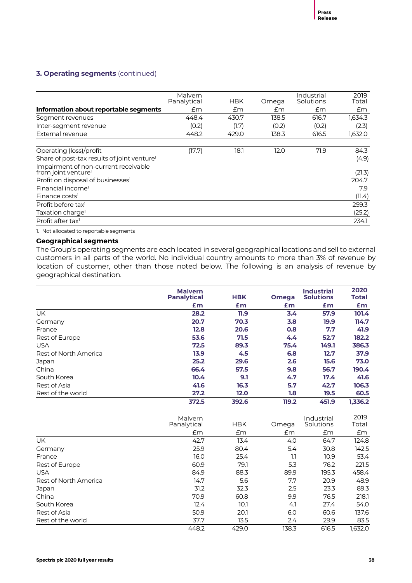# **3. Operating segments** (continued)

|                                                                         | Malvern<br>Panalytical | <b>HBK</b> | Omega | Industrial<br>Solutions | 2019<br>Total |
|-------------------------------------------------------------------------|------------------------|------------|-------|-------------------------|---------------|
| Information about reportable segments                                   | £m                     | £m         | £m    | £m                      | £m            |
| Segment revenues                                                        | 448.4                  | 430.7      | 138.5 | 616.7                   | 1,634.3       |
| Inter-segment revenue                                                   | (0.2)                  | (1.7)      | (0.2) | (0.2)                   | (2.3)         |
| External revenue                                                        | 448.2                  | 429.0      | 138.3 | 616.5                   | 1,632.0       |
| Operating (loss)/profit                                                 | (17.7)                 | 18.1       | 12.0  | 71.9                    | 84.3          |
| Share of post-tax results of joint venture <sup>1</sup>                 |                        |            |       |                         | (4.9)         |
| Impairment of non-current receivable<br>from joint venture <sup>1</sup> |                        |            |       |                         | (21.3)        |
| Profit on disposal of businesses <sup>1</sup>                           |                        |            |       |                         | 204.7         |
| Financial income <sup>1</sup>                                           |                        |            |       |                         | 7.9           |
| Finance costs <sup>1</sup>                                              |                        |            |       |                         | (11.4)        |
| Profit before tax <sup>1</sup>                                          |                        |            |       |                         | 259.3         |
| Taxation charge <sup>1</sup>                                            |                        |            |       |                         | (25.2)        |
| Profit after tax <sup>1</sup>                                           |                        |            |       |                         | 234.1         |

1. Not allocated to reportable segments

# **Geographical segments**

The Group's operating segments are each located in several geographical locations and sell to external customers in all parts of the world. No individual country amounts to more than 3% of revenue by location of customer, other than those noted below. The following is an analysis of revenue by geographical destination.

|                       | <b>Malvern</b><br><b>Panalytical</b> | <b>HBK</b> | <b>Omega</b> | <b>Industrial</b><br><b>Solutions</b> | 2020<br>Total |
|-----------------------|--------------------------------------|------------|--------------|---------------------------------------|---------------|
|                       | £m                                   | Em         | Em           | £m                                    | £m            |
| UK.                   | 28.2                                 | 11.9       | 3.4          | 57.9                                  | 101.4         |
| Germany               | 20.7                                 | 70.3       | 3.8          | 19.9                                  | 114.7         |
| France                | 12.8                                 | 20.6       | 0.8          | 7.7                                   | 41.9          |
| Rest of Europe        | 53.6                                 | 71.5       | 4.4          | 52.7                                  | 182.2         |
| <b>USA</b>            | 72.5                                 | 89.3       | 75.4         | 149.1                                 | 386.3         |
| Rest of North America | 13.9                                 | 4.5        | 6.8          | 12.7                                  | 37.9          |
| Japan                 | 25.2                                 | 29.6       | 2.6          | 15.6                                  | 73.0          |
| China                 | 66.4                                 | 57.5       | 9.8          | 56.7                                  | 190.4         |
| South Korea           | 10.4                                 | 9.1        | 4.7          | 17.4                                  | 41.6          |
| Rest of Asia          | 41.6                                 | 16.3       | 5.7          | 42.7                                  | 106.3         |
| Rest of the world     | 27.2                                 | 12.0       | 1.8          | 19.5                                  | 60.5          |
|                       | 372.5                                | 392.6      | 119.2        | 451.9                                 | 1.336.2       |

|                       | Malvern<br>Panalytical | <b>HBK</b> | Omega | Industrial<br>Solutions | 2019<br>Total |
|-----------------------|------------------------|------------|-------|-------------------------|---------------|
|                       | £m                     | Em         | £m    | £m                      | £m            |
| UK.                   | 42.7                   | 13.4       | 4.0   | 64.7                    | 124.8         |
| Germany               | 25.9                   | 80.4       | 5.4   | 30.8                    | 142.5         |
| France                | 16.0                   | 25.4       | 1.1   | 10.9                    | 53.4          |
| Rest of Europe        | 60.9                   | 79.1       | 5.3   | 76.2                    | 221.5         |
| <b>USA</b>            | 84.9                   | 88.3       | 89.9  | 195.3                   | 458.4         |
| Rest of North America | 14.7                   | 5.6        | 7.7   | 20.9                    | 48.9          |
| Japan                 | 31.2                   | 32.3       | 2.5   | 23.3                    | 89.3          |
| China                 | 70.9                   | 60.8       | 9.9   | 76.5                    | 218.1         |
| South Korea           | 12.4                   | 10.1       | 4.1   | 27.4                    | 54.0          |
| Rest of Asia          | 50.9                   | 20.1       | 6.0   | 60.6                    | 137.6         |
| Rest of the world     | 37.7                   | 13.5       | 2.4   | 29.9                    | 83.5          |
|                       | 448.2                  | 429.0      | 138.3 | 616.5                   | 1,632.0       |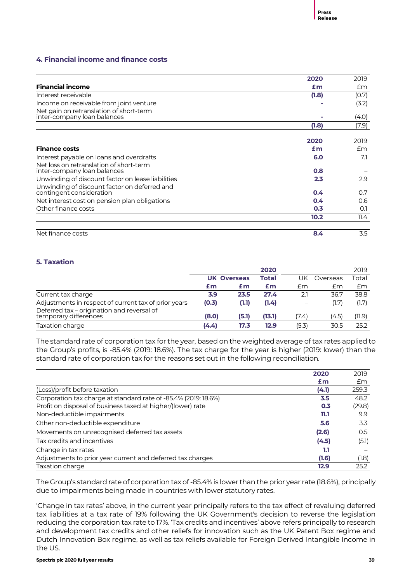# **4. Financial income and finance costs**

|                                                                          | 2020  | 2019  |
|--------------------------------------------------------------------------|-------|-------|
| <b>Financial income</b>                                                  | £m    | Em    |
| Interest receivable                                                      | (1.8) | (0.7) |
| Income on receivable from joint venture                                  |       | (3.2) |
| Net gain on retranslation of short-term<br>inter-company loan balances   |       | (4.0) |
|                                                                          | (1.8) | (7.9) |
|                                                                          |       |       |
|                                                                          | 2020  | 2019  |
| <b>Finance costs</b>                                                     | £m    | £m    |
| Interest payable on loans and overdrafts                                 | 6.0   | 7.1   |
| Net loss on retranslation of short-term<br>inter-company loan balances   | 0.8   |       |
| Unwinding of discount factor on lease liabilities                        | 2.3   | 2.9   |
| Unwinding of discount factor on deferred and<br>contingent consideration | 0.4   | 0.7   |
| Net interest cost on pension plan obligations                            | 0.4   | 0.6   |
| Other finance costs                                                      | 0.3   | O.1   |
|                                                                          | 10.2  | 11.4  |
|                                                                          |       |       |
| Net finance costs                                                        | 8.4   | 3.5   |

# **5. Taxation**

|                                                                     |       |                    | 2020   |                          |          | 2019   |
|---------------------------------------------------------------------|-------|--------------------|--------|--------------------------|----------|--------|
|                                                                     |       | <b>UK Overseas</b> | Total  | UK                       | Overseas | Total  |
|                                                                     | £m    | £m                 | £m     | £m                       | £m       | Em     |
| Current tax charge                                                  | 3.9   | 23.5               | 27.4   | 2.1                      | 36.7     | 38.8   |
| Adjustments in respect of current tax of prior years                | (0.3) | (1.1)              | (1.4)  | $\overline{\phantom{0}}$ | (1.7)    | (1.7)  |
| Deferred tax - origination and reversal of<br>temporary differences | (8.0) | (5.1)              | (13.1) | (7.4)                    | (4.5)    | (11.9) |
| Taxation charge                                                     | (4.4) | 17.3               | 12.9   | (5.3)                    | 30.5     | 25.2   |

The standard rate of corporation tax for the year, based on the weighted average of tax rates applied to the Group's profits, is -85.4% (2019: 18.6%). The tax charge for the year is higher (2019: lower) than the standard rate of corporation tax for the reasons set out in the following reconciliation.

|                                                                 | 2020  | 2019   |
|-----------------------------------------------------------------|-------|--------|
|                                                                 | £m    | £m     |
| (Loss)/profit before taxation                                   | (4.1) | 259.3  |
| Corporation tax charge at standard rate of -85.4% (2019: 18.6%) | 3.5   | 48.2   |
| Profit on disposal of business taxed at higher/(lower) rate     | 0.3   | (29.8) |
| Non-deductible impairments                                      | 11.1  | 99     |
| Other non-deductible expenditure                                | 5.6   | 3.3    |
| Movements on unrecognised deferred tax assets                   | (2.6) | 0.5    |
| Tax credits and incentives                                      | (4.5) | (5.1)  |
| Change in tax rates                                             | 1.1   |        |
| Adjustments to prior year current and deferred tax charges      | (1.6) | (1.8)  |
| Taxation charge                                                 | 12.9  | 25.2   |

The Group's standard rate of corporation tax of -85.4% is lower than the prior year rate (18.6%), principally due to impairments being made in countries with lower statutory rates.

'Change in tax rates' above, in the current year principally refers to the tax effect of revaluing deferred tax liabilities at a tax rate of 19% following the UK Government's decision to reverse the legislation reducing the corporation tax rate to 17%. 'Tax credits and incentives' above refers principally to research and development tax credits and other reliefs for innovation such as the UK Patent Box regime and Dutch Innovation Box regime, as well as tax reliefs available for Foreign Derived Intangible Income in the US.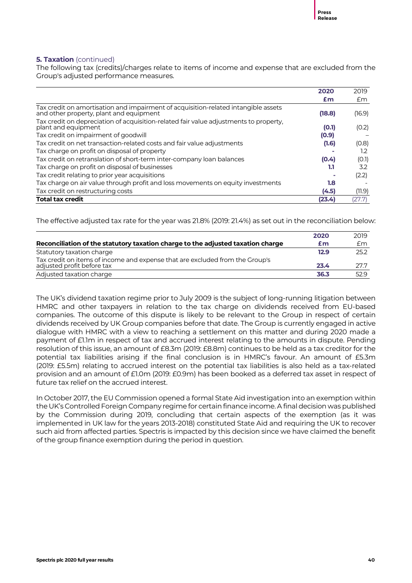# **5. Taxation** (continued)

The following tax (credits)/charges relate to items of income and expense that are excluded from the Group's adjusted performance measures.

|                                                                                                                               | 2020   | 2019   |
|-------------------------------------------------------------------------------------------------------------------------------|--------|--------|
|                                                                                                                               | £m     | £m     |
| Tax credit on amortisation and impairment of acquisition-related intangible assets<br>and other property, plant and equipment | (18.8) | (16.9) |
| Tax credit on depreciation of acquisition-related fair value adjustments to property,<br>plant and equipment                  | (0.1)  | (0.2)  |
| Tax credit on impairment of goodwill                                                                                          | (0.9)  |        |
| Tax credit on net transaction-related costs and fair value adjustments                                                        | (1.6)  | (0.8)  |
| Tax charge on profit on disposal of property                                                                                  |        | 1.2    |
| Tax credit on retranslation of short-term inter-company loan balances                                                         | (0.4)  | (O.1)  |
| Tax charge on profit on disposal of businesses                                                                                | 1.1    | 3.2    |
| Tax credit relating to prior year acquisitions                                                                                |        | (2.2)  |
| Tax charge on air value through profit and loss movements on equity investments                                               | 1.8    |        |
| Tax credit on restructuring costs                                                                                             | (4.5)  | (11.9) |
| <b>Total tax credit</b>                                                                                                       | (23.4) | (27.7) |

The effective adjusted tax rate for the year was 21.8% (2019: 21.4%) as set out in the reconciliation below:

|                                                                                                            | 2020 | 2019 |
|------------------------------------------------------------------------------------------------------------|------|------|
| Reconciliation of the statutory taxation charge to the adjusted taxation charge                            | £m   | £m   |
| Statutory taxation charge                                                                                  | 12.9 | 25.2 |
| Tax credit on items of income and expense that are excluded from the Group's<br>adjusted profit before tax | 23.4 | 27.7 |
| Adjusted taxation charge                                                                                   | 36.3 | 52.9 |

The UK's dividend taxation regime prior to July 2009 is the subject of long-running litigation between HMRC and other taxpayers in relation to the tax charge on dividends received from EU-based companies. The outcome of this dispute is likely to be relevant to the Group in respect of certain dividends received by UK Group companies before that date. The Group is currently engaged in active dialogue with HMRC with a view to reaching a settlement on this matter and during 2020 made a payment of £1.1m in respect of tax and accrued interest relating to the amounts in dispute. Pending resolution of this issue, an amount of £8.3m (2019: £8.8m) continues to be held as a tax creditor for the potential tax liabilities arising if the final conclusion is in HMRC's favour. An amount of £5.3m (2019: £5.5m) relating to accrued interest on the potential tax liabilities is also held as a tax-related provision and an amount of £1.0m (2019: £0.9m) has been booked as a deferred tax asset in respect of future tax relief on the accrued interest.

In October 2017, the EU Commission opened a formal State Aid investigation into an exemption within the UK's Controlled Foreign Company regime for certain finance income. A final decision was published by the Commission during 2019, concluding that certain aspects of the exemption (as it was implemented in UK law for the years 2013-2018) constituted State Aid and requiring the UK to recover such aid from affected parties. Spectris is impacted by this decision since we have claimed the benefit of the group finance exemption during the period in question.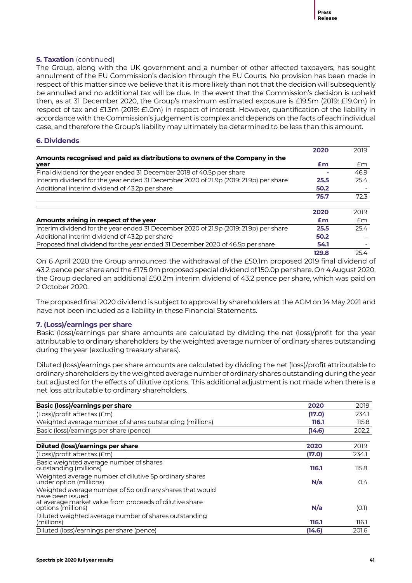# **5. Taxation** (continued)

The Group, along with the UK government and a number of other affected taxpayers, has sought annulment of the EU Commission's decision through the EU Courts. No provision has been made in respect of this matter since we believe that it is more likely than not that the decision will subsequently be annulled and no additional tax will be due. In the event that the Commission's decision is upheld then, as at 31 December 2020, the Group's maximum estimated exposure is £19.5m (2019: £19.0m) in respect of tax and £1.3m (2019: £1.0m) in respect of interest. However, quantification of the liability in accordance with the Commission's judgement is complex and depends on the facts of each individual case, and therefore the Group's liability may ultimately be determined to be less than this amount.

# **6. Dividends**

|                                                                                       | 2020  | 2019 |
|---------------------------------------------------------------------------------------|-------|------|
| Amounts recognised and paid as distributions to owners of the Company in the<br>year  | £m    | £m   |
| Final dividend for the year ended 31 December 2018 of 40.5p per share                 |       | 46.9 |
| Interim dividend for the year ended 31 December 2020 of 21.9p (2019: 21.9p) per share | 25.5  | 25.4 |
| Additional interim dividend of 43.2p per share                                        | 50.2  |      |
|                                                                                       | 75.7  | 72.3 |
|                                                                                       | 2020  | 2019 |
| Amounts arising in respect of the year                                                | Em    | £m   |
| Interim dividend for the year ended 31 December 2020 of 21.9p (2019: 21.9p) per share | 25.5  | 25.4 |
| Additional interim dividend of 43.2p per share                                        | 50.2  |      |
| Proposed final dividend for the year ended 31 December 2020 of 46.5p per share        | 54.1  |      |
|                                                                                       | 129.8 | 25.4 |

On 6 April 2020 the Group announced the withdrawal of the £50.1m proposed 2019 final dividend of 43.2 pence per share and the £175.0m proposed special dividend of 150.0p per share. On 4 August 2020, the Group declared an additional £50.2m interim dividend of 43.2 pence per share, which was paid on 2 October 2020.

The proposed final 2020 dividend is subject to approval by shareholders at the AGM on 14 May 2021 and have not been included as a liability in these Financial Statements.

# **7. (Loss)/earnings per share**

Basic (loss)/earnings per share amounts are calculated by dividing the net (loss)/profit for the year attributable to ordinary shareholders by the weighted average number of ordinary shares outstanding during the year (excluding treasury shares).

Diluted (loss)/earnings per share amounts are calculated by dividing the net (loss)/profit attributable to ordinary shareholders by the weighted average number of ordinary shares outstanding during the year but adjusted for the effects of dilutive options. This additional adjustment is not made when there is a net loss attributable to ordinary shareholders.

| <b>Basic (loss)/earnings per share</b>                                            | 2020   | 2019  |
|-----------------------------------------------------------------------------------|--------|-------|
| (Loss)/profit after tax (£m)                                                      | (17.0) | 234.1 |
| Weighted average number of shares outstanding (millions)                          | 116.1  | 115.8 |
| Basic (loss)/earnings per share (pence)                                           | (14.6) | 202.2 |
| Diluted (loss)/earnings per share                                                 | 2020   | 2019  |
| (Loss)/profit after tax (£m)                                                      | (17.0) | 234.1 |
| Basic weighted average number of shares<br>outstanding (millions)                 | 116.1  | 115.8 |
| Weighted average number of dilutive 5p ordinary shares<br>under option (millions) | N/a    | 0.4   |
| Weighted average number of 5p ordinary shares that would<br>have been issued      |        |       |
| at average market value from proceeds of dilutive share<br>options (millions)     | N/a    | (O.1) |
| Diluted weighted average number of shares outstanding<br>(millions)               | 116.1  | 116.1 |
| Diluted (loss)/earnings per share (pence)                                         | (14.6) | 201.6 |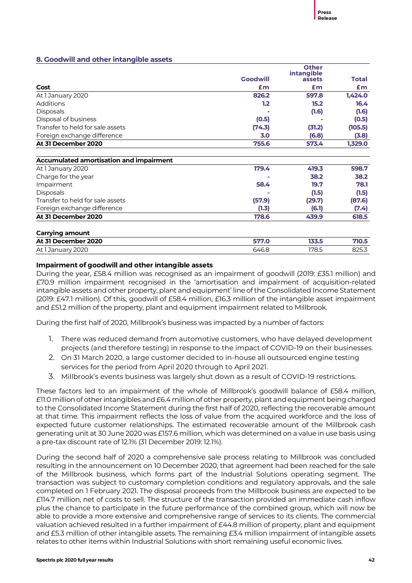# **8. Goodwill and other intangible assets**

|                                         |                 | <b>Other</b>         |              |
|-----------------------------------------|-----------------|----------------------|--------------|
|                                         | <b>Goodwill</b> | intangible<br>assets | <b>Total</b> |
|                                         |                 |                      |              |
| Cost                                    | £m              | £m                   | £m           |
| At 1 January 2020                       | 826.2           | 597.8                | 1,424.0      |
| <b>Additions</b>                        | 1.2             | 15.2                 | 16.4         |
| <b>Disposals</b>                        |                 | (1.6)                | (1.6)        |
| Disposal of business                    | (0.5)           |                      | (0.5)        |
| Transfer to held for sale assets        | (74.3)          | (31.2)               | (105.5)      |
| Foreign exchange difference             | 3.0             | (6.8)                | (3.8)        |
| At 31 December 2020                     | 755.6           | 573.4                | 1,329.0      |
| Accumulated amortisation and impairment |                 |                      |              |
| At 1 January 2020                       | 179.4           | 419.3                | 598.7        |
| Charge for the year                     |                 | 38.2                 | 38.2         |
| Impairment                              | 58.4            | 19.7                 | 78.1         |
| <b>Disposals</b>                        |                 | (1.5)                | (1.5)        |
| Transfer to held for sale assets        | (57.9)          | (29.7)               | (87.6)       |
| Foreign exchange difference             | (1.3)           | (6.1)                | (7.4)        |
| At 31 December 2020                     | 178.6           | 439.9                | 618.5        |
| <b>Carrying amount</b>                  |                 |                      |              |
| At 31 December 2020                     | 577.0           | 133.5                | 710.5        |
| At 1 January 2020                       | 646.8           | 178.5                | 825.3        |

# **Impairment of goodwill and other intangible assets**

During the year, £58.4 million was recognised as an impairment of goodwill (2019: £35.1 million) and £70.9 million impairment recognised in the 'amortisation and impairment of acquisition-related intangible assets and other property, plant and equipment' line of the Consolidated Income Statement (2019: £47.1 million). Of this, goodwill of £58.4 million, £16.3 million of the intangible asset impairment and £51.2 million of the property, plant and equipment impairment related to Millbrook.

During the first half of 2020, Millbrook's business was impacted by a number of factors:

- 1. There was reduced demand from automotive customers, who have delayed development projects (and therefore testing) in response to the impact of COVID-19 on their businesses.
- 2. On 31 March 2020, a large customer decided to in-house all outsourced engine testing services for the period from April 2020 through to April 2021.
- 3. Millbrook's events business was largely shut down as a result of COVID-19 restrictions.

These factors led to an impairment of the whole of Millbrook's goodwill balance of £58.4 million, £11.0million of other intangibles and £6.4million of other property, plant and equipment being charged to the Consolidated Income Statement during the first half of 2020, reflecting the recoverable amount at that time. This impairment reflects the loss of value from the acquired workforce and the loss of expected future customer relationships. The estimated recoverable amount of the Millbrook cash generating unit at 30 June 2020 was £157.6 million, which was determined on a value in use basis using a pre-tax discount rate of 12.1% (31 December 2019: 12.1%).

During the second half of 2020 a comprehensive sale process relating to Millbrook was concluded resulting in the announcement on 10 December 2020, that agreement had been reached for the sale of the Millbrook business, which forms part of the Industrial Solutions operating segment. The transaction was subject to customary completion conditions and regulatory approvals, and the sale completed on 1 February 2021. The disposal proceeds from the Millbrook business are expected to be £114.7 million, net of costs to sell. The structure of the transaction provided an immediate cash inflow plus the chance to participate in the future performance of the combined group, which will now be able to provide a more extensive and comprehensive range of services to its clients. The commercial valuation achieved resulted in a further impairment of £44.8 million of property, plant and equipment and £5.3 million of other intangible assets. The remaining £3.4 million impairment of intangible assets relates to other items within Industrial Solutions with short remaining useful economic lives.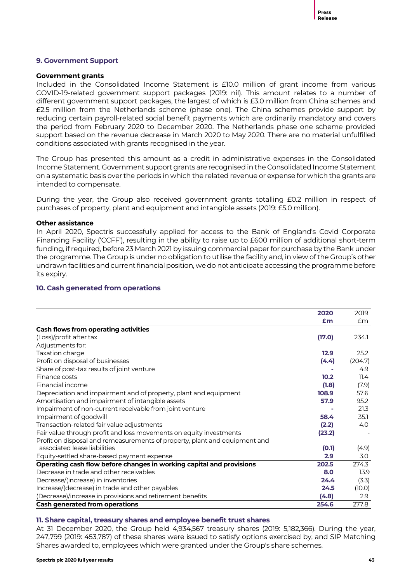# **9. Government Support**

### **Government grants**

Included in the Consolidated Income Statement is £10.0 million of grant income from various COVID-19-related government support packages (2019: nil). This amount relates to a number of different government support packages, the largest of which is £3.0 million from China schemes and £2.5 million from the Netherlands scheme (phase one). The China schemes provide support by reducing certain payroll-related social benefit payments which are ordinarily mandatory and covers the period from February 2020 to December 2020. The Netherlands phase one scheme provided support based on the revenue decrease in March 2020 to May 2020. There are no material unfulfilled conditions associated with grants recognised in the year.

The Group has presented this amount as a credit in administrative expenses in the Consolidated Income Statement. Government support grants are recognised in the Consolidated Income Statement on a systematic basis over the periods in which the related revenue or expense for which the grants are intended to compensate.

During the year, the Group also received government grants totalling £0.2 million in respect of purchases of property, plant and equipment and intangible assets (2019: £5.0 million).

### **Other assistance**

In April 2020, Spectris successfully applied for access to the Bank of England's Covid Corporate Financing Facility ('CCFF'), resulting in the ability to raise up to £600 million of additional short-term funding, if required, before 23 March 2021 by issuing commercial paper for purchase by the Bank under the programme. The Group is under no obligation to utilise the facility and, in view of the Group's other undrawn facilities and current financial position, we do not anticipate accessing the programme before its expiry.

# **10. Cash generated from operations**

|                                                                            | 2020   | 2019    |
|----------------------------------------------------------------------------|--------|---------|
|                                                                            | £m     | £m      |
| <b>Cash flows from operating activities</b>                                |        |         |
| (Loss)/profit after tax                                                    | (17.0) | 234.1   |
| Adjustments for:                                                           |        |         |
| Taxation charge                                                            | 12.9   | 25.2    |
| Profit on disposal of businesses                                           | (4.4)  | (204.7) |
| Share of post-tax results of joint venture                                 |        | 4.9     |
| Finance costs                                                              | 10.2   | 11.4    |
| Financial income                                                           | (1.8)  | (7.9)   |
| Depreciation and impairment and of property, plant and equipment           | 108.9  | 57.6    |
| Amortisation and impairment of intangible assets                           | 57.9   | 95.2    |
| Impairment of non-current receivable from joint venture                    |        | 21.3    |
| Impairment of goodwill                                                     | 58.4   | 35.1    |
| Transaction-related fair value adjustments                                 | (2.2)  | 4.0     |
| Fair value through profit and loss movements on equity investments         | (23.2) |         |
| Profit on disposal and remeasurements of property, plant and equipment and |        |         |
| associated lease liabilities                                               | (0.1)  | (4.9)   |
| Equity-settled share-based payment expense                                 | 2.9    | 3.0     |
| Operating cash flow before changes in working capital and provisions       | 202.5  | 274.3   |
| Decrease in trade and other receivables                                    | 8.0    | 13.9    |
| Decrease/(increase) in inventories                                         | 24.4   | (3.3)   |
| Increase/(decrease) in trade and other payables                            | 24.5   | (10.0)  |
| (Decrease)/increase in provisions and retirement benefits                  | (4.8)  | 2.9     |
| <b>Cash generated from operations</b>                                      | 254.6  | 277.8   |

# **11. Share capital, treasury shares and employee benefit trust shares**

At 31 December 2020, the Group held 4,934,567 treasury shares (2019: 5,182,366). During the year, 247,799 (2019: 453,787) of these shares were issued to satisfy options exercised by, and SIP Matching Shares awarded to, employees which were granted under the Group's share schemes.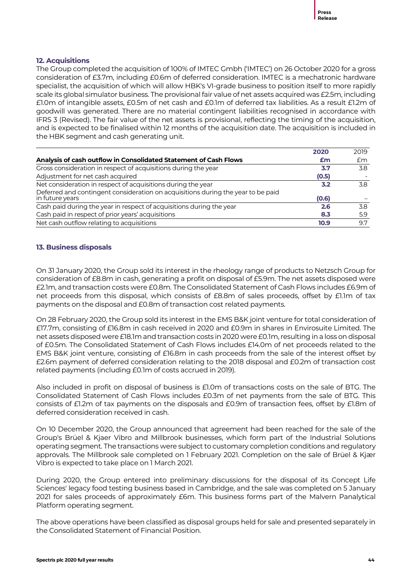# **12. Acquisitions**

The Group completed the acquisition of 100% of IMTEC Gmbh ('IMTEC') on 26 October 2020 for a gross consideration of £3.7m, including £0.6m of deferred consideration. IMTEC is a mechatronic hardware specialist, the acquisition of which will allow HBK's VI-grade business to position itself to more rapidly scale its global simulator business. The provisional fair value of net assets acquired was £2.5m, including £1.0m of intangible assets, £0.5m of net cash and £0.1m of deferred tax liabilities. As a result £1.2m of goodwill was generated. There are no material contingent liabilities recognised in accordance with IFRS 3 (Revised). The fair value of the net assets is provisional, reflecting the timing of the acquisition, and is expected to be finalised within 12 months of the acquisition date. The acquisition is included in the HBK segment and cash generating unit.

|                                                                                                     | 2020  | 2019 |
|-----------------------------------------------------------------------------------------------------|-------|------|
| Analysis of cash outflow in Consolidated Statement of Cash Flows                                    | £m    | Em   |
| Gross consideration in respect of acquisitions during the year                                      | 3.7   | 3.8  |
| Adjustment for net cash acquired                                                                    | (0.5) |      |
| Net consideration in respect of acquisitions during the year                                        | 3.2   | 3.8  |
| Deferred and contingent consideration on acquisitions during the year to be paid<br>in future years | (0.6) |      |
| Cash paid during the year in respect of acquisitions during the year                                | 2.6   | 3.8  |
| Cash paid in respect of prior years' acquisitions                                                   | 8.3   | 5.9  |
| Net cash outflow relating to acquisitions                                                           | 10.9  | 9.7  |

# **13. Business disposals**

On 31 January 2020, the Group sold its interest in the rheology range of products to Netzsch Group for consideration of £8.8m in cash, generating a profit on disposal of £5.9m. The net assets disposed were £2.1m, and transaction costs were £0.8m. The Consolidated Statement of Cash Flows includes £6.9m of net proceeds from this disposal, which consists of £8.8m of sales proceeds, offset by £1.1m of tax payments on the disposal and £0.8m of transaction cost related payments.

On 28 February 2020, the Group sold its interest in the EMS B&K joint venture for total consideration of £17.7m, consisting of £16.8m in cash received in 2020 and £0.9m in shares in Envirosuite Limited. The net assets disposed were £18.1m and transaction costs in 2020 were £0.1m, resulting in a loss on disposal of £0.5m. The Consolidated Statement of Cash Flows includes £14.0m of net proceeds related to the EMS B&K joint venture, consisting of £16.8m in cash proceeds from the sale of the interest offset by £2.6m payment of deferred consideration relating to the 2018 disposal and £0.2m of transaction cost related payments (including £0.1m of costs accrued in 2019).

Also included in profit on disposal of business is £1.0m of transactions costs on the sale of BTG. The Consolidated Statement of Cash Flows includes £0.3m of net payments from the sale of BTG. This consists of £1.2m of tax payments on the disposals and £0.9m of transaction fees, offset by £1.8m of deferred consideration received in cash.

On 10 December 2020, the Group announced that agreement had been reached for the sale of the Group's Brüel & Kjaer Vibro and Millbrook businesses, which form part of the Industrial Solutions operating segment. The transactions were subject to customary completion conditions and regulatory approvals. The Millbrook sale completed on 1 February 2021. Completion on the sale of Brüel & Kjær Vibro is expected to take place on 1 March 2021.

During 2020, the Group entered into preliminary discussions for the disposal of its Concept Life Sciences' legacy food testing business based in Cambridge, and the sale was completed on 5 January 2021 for sales proceeds of approximately £6m. This business forms part of the Malvern Panalytical Platform operating segment.

The above operations have been classified as disposal groups held for sale and presented separately in the Consolidated Statement of Financial Position.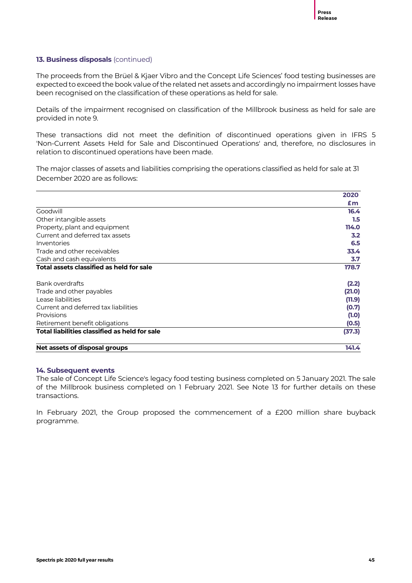# **13. Business disposals** (continued)

The proceeds from the Brüel & Kjaer Vibro and the Concept Life Sciences' food testing businesses are expected to exceed the book value of the related net assets and accordingly no impairment losses have been recognised on the classification of these operations as held for sale.

Details of the impairment recognised on classification of the Millbrook business as held for sale are provided in note 9.

These transactions did not meet the definition of discontinued operations given in IFRS 5 'Non-Current Assets Held for Sale and Discontinued Operations' and, therefore, no disclosures in relation to discontinued operations have been made.

The major classes of assets and liabilities comprising the operations classified as held for sale at 31 December 2020 are as follows:

|                                               | 2020    |
|-----------------------------------------------|---------|
|                                               | £m      |
| Goodwill                                      | 16.4    |
| Other intangible assets                       | $1.5\,$ |
| Property, plant and equipment                 | 114.0   |
| Current and deferred tax assets               | 3.2     |
| Inventories                                   | 6.5     |
| Trade and other receivables                   | 33.4    |
| Cash and cash equivalents                     | 3.7     |
| Total assets classified as held for sale      | 178.7   |
| Bank overdrafts                               | (2.2)   |
| Trade and other payables                      | (21.0)  |
| Lease liabilities                             | (11.9)  |
| Current and deferred tax liabilities          | (0.7)   |
| Provisions                                    | (1.0)   |
| Retirement benefit obligations                | (0.5)   |
| Total liabilities classified as held for sale | (37.3)  |
| Net assets of disposal groups                 | 141.4   |

# **14. Subsequent events**

The sale of Concept Life Science's legacy food testing business completed on 5 January 2021. The sale of the Millbrook business completed on 1 February 2021. See Note 13 for further details on these transactions.

In February 2021, the Group proposed the commencement of a £200 million share buyback programme.